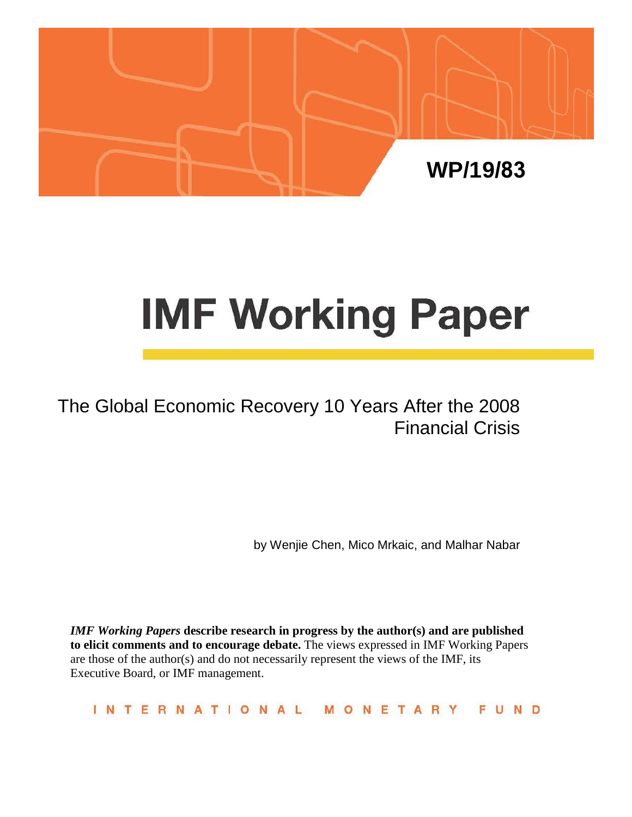

# **IMF Working Paper**

## The Global Economic Recovery 10 Years After the 2008 Financial Crisis

by Wenjie Chen, Mico Mrkaic, and Malhar Nabar

*IMF Working Papers* **describe research in progress by the author(s) and are published to elicit comments and to encourage debate.** The views expressed in IMF Working Papers are those of the author(s) and do not necessarily represent the views of the IMF, its Executive Board, or IMF management.

**INTERNATIONAL** FUND MONETARY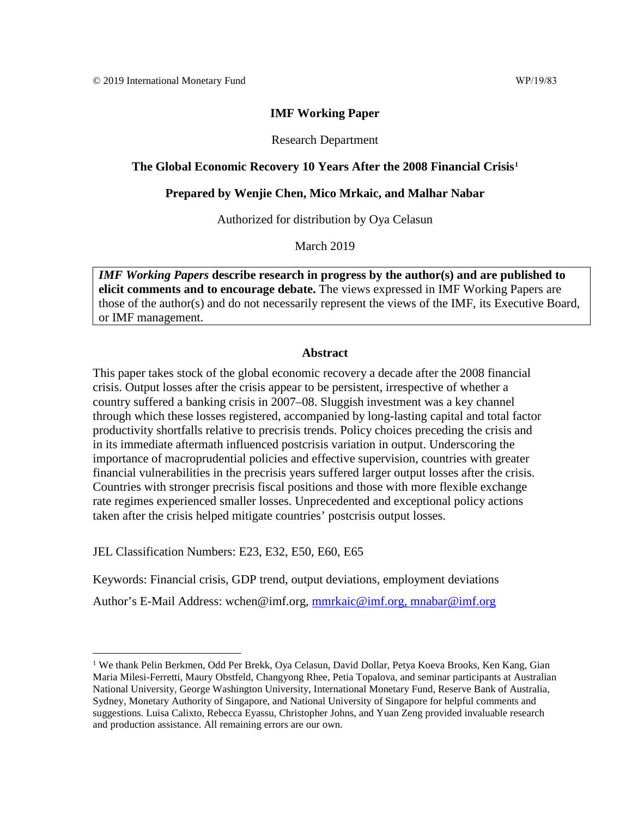Research Department

## **The Global Economic Recovery 10 Years After the 2008 Financial Crisis[1](#page-1-0)**

## **Prepared by Wenjie Chen, Mico Mrkaic, and Malhar Nabar**

Authorized for distribution by Oya Celasun

March 2019

*IMF Working Papers* **describe research in progress by the author(s) and are published to elicit comments and to encourage debate.** The views expressed in IMF Working Papers are those of the author(s) and do not necessarily represent the views of the IMF, its Executive Board, or IMF management.

## **Abstract**

This paper takes stock of the global economic recovery a decade after the 2008 financial crisis. Output losses after the crisis appear to be persistent, irrespective of whether a country suffered a banking crisis in 2007–08. Sluggish investment was a key channel through which these losses registered, accompanied by long-lasting capital and total factor productivity shortfalls relative to precrisis trends. Policy choices preceding the crisis and in its immediate aftermath influenced postcrisis variation in output. Underscoring the importance of macroprudential policies and effective supervision, countries with greater financial vulnerabilities in the precrisis years suffered larger output losses after the crisis. Countries with stronger precrisis fiscal positions and those with more flexible exchange rate regimes experienced smaller losses. Unprecedented and exceptional policy actions taken after the crisis helped mitigate countries' postcrisis output losses.

JEL Classification Numbers: E23, E32, E50, E60, E65

Keywords: Financial crisis, GDP trend, output deviations, employment deviations

Author's E-Mail Address: wchen@imf.org, [mmrkaic@imf.org,](mailto:mmrkaic@imf.org) mnabar@imf.org

<span id="page-1-0"></span><sup>&</sup>lt;sup>1</sup> We thank Pelin Berkmen, Odd Per Brekk, Oya Celasun, David Dollar, Petya Koeva Brooks, Ken Kang, Gian Maria Milesi-Ferretti, Maury Obstfeld, Changyong Rhee, Petia Topalova, and seminar participants at Australian National University, George Washington University, International Monetary Fund, Reserve Bank of Australia, Sydney, Monetary Authority of Singapore, and National University of Singapore for helpful comments and suggestions. Luisa Calixto, Rebecca Eyassu, Christopher Johns, and Yuan Zeng provided invaluable research and production assistance. All remaining errors are our own.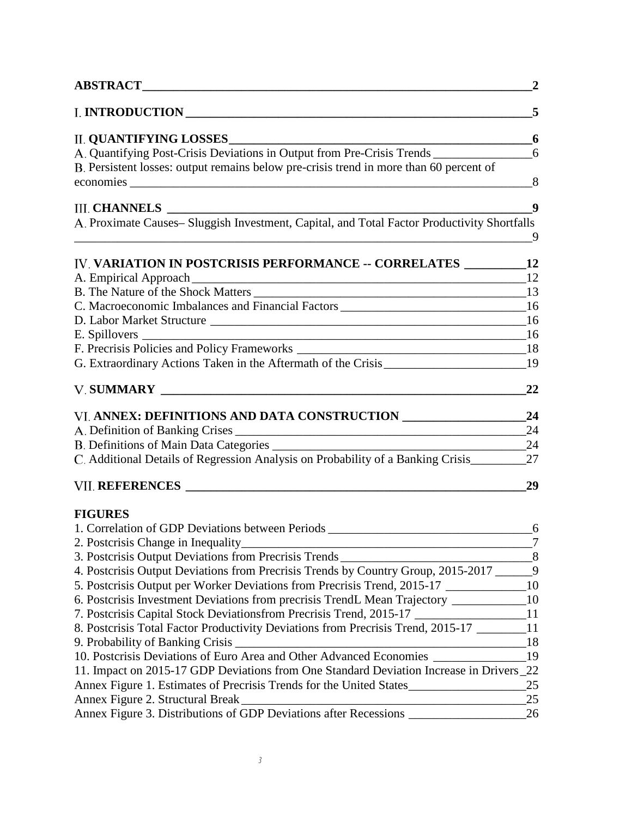| A. Quantifying Post-Crisis Deviations in Output from Pre-Crisis Trends<br>A. Proximate Causes- Sluggish Investment, Capital, and Total Factor Productivity Shortfalls<br>IV. VARIATION IN POSTCRISIS PERFORMANCE -- CORRELATES __________ 12<br>C. Macroeconomic Imbalances and Financial Factors _______________________________16<br>G. Extraordinary Actions Taken in the Aftermath of the Crisis____________________<br>A. Definition of Banking Crises<br>C. Additional Details of Regression Analysis on Probability of a Banking Crisis_______<br>1. Correlation of GDP Deviations between Periods _______________________________<br>4. Postcrisis Output Deviations from Precrisis Trends by Country Group, 2015-2017 ______9<br>10<br>5. Postcrisis Output per Worker Deviations from Precrisis Trend, 2015-17<br>10<br>6. Postcrisis Investment Deviations from precrisis TrendL Mean Trajectory _______<br>11<br>7. Postcrisis Capital Stock Deviationsfrom Precrisis Trend, 2015-17 _____________<br>8. Postcrisis Total Factor Productivity Deviations from Precrisis Trend, 2015-17 ______<br>11<br>9. Probability of Banking Crisis __<br>18<br>19<br>11. Impact on 2015-17 GDP Deviations from One Standard Deviation Increase in Drivers_22<br>Annex Figure 1. Estimates of Precrisis Trends for the United States<br>Annex Figure 2. Structural Break<br>Annex Figure 3. Distributions of GDP Deviations after Recessions ________________ |                                                                                        | $\overline{2}$ |
|---------------------------------------------------------------------------------------------------------------------------------------------------------------------------------------------------------------------------------------------------------------------------------------------------------------------------------------------------------------------------------------------------------------------------------------------------------------------------------------------------------------------------------------------------------------------------------------------------------------------------------------------------------------------------------------------------------------------------------------------------------------------------------------------------------------------------------------------------------------------------------------------------------------------------------------------------------------------------------------------------------------------------------------------------------------------------------------------------------------------------------------------------------------------------------------------------------------------------------------------------------------------------------------------------------------------------------------------------------------------------------------------------------------------------------------------------------------|----------------------------------------------------------------------------------------|----------------|
|                                                                                                                                                                                                                                                                                                                                                                                                                                                                                                                                                                                                                                                                                                                                                                                                                                                                                                                                                                                                                                                                                                                                                                                                                                                                                                                                                                                                                                                               |                                                                                        | 5              |
|                                                                                                                                                                                                                                                                                                                                                                                                                                                                                                                                                                                                                                                                                                                                                                                                                                                                                                                                                                                                                                                                                                                                                                                                                                                                                                                                                                                                                                                               |                                                                                        | 6              |
|                                                                                                                                                                                                                                                                                                                                                                                                                                                                                                                                                                                                                                                                                                                                                                                                                                                                                                                                                                                                                                                                                                                                                                                                                                                                                                                                                                                                                                                               |                                                                                        | 6              |
|                                                                                                                                                                                                                                                                                                                                                                                                                                                                                                                                                                                                                                                                                                                                                                                                                                                                                                                                                                                                                                                                                                                                                                                                                                                                                                                                                                                                                                                               | B. Persistent losses: output remains below pre-crisis trend in more than 60 percent of |                |
|                                                                                                                                                                                                                                                                                                                                                                                                                                                                                                                                                                                                                                                                                                                                                                                                                                                                                                                                                                                                                                                                                                                                                                                                                                                                                                                                                                                                                                                               | <b>III. CHANNELS</b>                                                                   | 9              |
|                                                                                                                                                                                                                                                                                                                                                                                                                                                                                                                                                                                                                                                                                                                                                                                                                                                                                                                                                                                                                                                                                                                                                                                                                                                                                                                                                                                                                                                               |                                                                                        | 9              |
|                                                                                                                                                                                                                                                                                                                                                                                                                                                                                                                                                                                                                                                                                                                                                                                                                                                                                                                                                                                                                                                                                                                                                                                                                                                                                                                                                                                                                                                               |                                                                                        |                |
|                                                                                                                                                                                                                                                                                                                                                                                                                                                                                                                                                                                                                                                                                                                                                                                                                                                                                                                                                                                                                                                                                                                                                                                                                                                                                                                                                                                                                                                               |                                                                                        | 12             |
|                                                                                                                                                                                                                                                                                                                                                                                                                                                                                                                                                                                                                                                                                                                                                                                                                                                                                                                                                                                                                                                                                                                                                                                                                                                                                                                                                                                                                                                               |                                                                                        |                |
|                                                                                                                                                                                                                                                                                                                                                                                                                                                                                                                                                                                                                                                                                                                                                                                                                                                                                                                                                                                                                                                                                                                                                                                                                                                                                                                                                                                                                                                               |                                                                                        |                |
|                                                                                                                                                                                                                                                                                                                                                                                                                                                                                                                                                                                                                                                                                                                                                                                                                                                                                                                                                                                                                                                                                                                                                                                                                                                                                                                                                                                                                                                               |                                                                                        |                |
|                                                                                                                                                                                                                                                                                                                                                                                                                                                                                                                                                                                                                                                                                                                                                                                                                                                                                                                                                                                                                                                                                                                                                                                                                                                                                                                                                                                                                                                               |                                                                                        |                |
|                                                                                                                                                                                                                                                                                                                                                                                                                                                                                                                                                                                                                                                                                                                                                                                                                                                                                                                                                                                                                                                                                                                                                                                                                                                                                                                                                                                                                                                               |                                                                                        |                |
|                                                                                                                                                                                                                                                                                                                                                                                                                                                                                                                                                                                                                                                                                                                                                                                                                                                                                                                                                                                                                                                                                                                                                                                                                                                                                                                                                                                                                                                               |                                                                                        | 19             |
|                                                                                                                                                                                                                                                                                                                                                                                                                                                                                                                                                                                                                                                                                                                                                                                                                                                                                                                                                                                                                                                                                                                                                                                                                                                                                                                                                                                                                                                               |                                                                                        | 22             |
|                                                                                                                                                                                                                                                                                                                                                                                                                                                                                                                                                                                                                                                                                                                                                                                                                                                                                                                                                                                                                                                                                                                                                                                                                                                                                                                                                                                                                                                               | VI. ANNEX: DEFINITIONS AND DATA CONSTRUCTION __________________                        | 24             |
|                                                                                                                                                                                                                                                                                                                                                                                                                                                                                                                                                                                                                                                                                                                                                                                                                                                                                                                                                                                                                                                                                                                                                                                                                                                                                                                                                                                                                                                               |                                                                                        | 24             |
|                                                                                                                                                                                                                                                                                                                                                                                                                                                                                                                                                                                                                                                                                                                                                                                                                                                                                                                                                                                                                                                                                                                                                                                                                                                                                                                                                                                                                                                               |                                                                                        |                |
|                                                                                                                                                                                                                                                                                                                                                                                                                                                                                                                                                                                                                                                                                                                                                                                                                                                                                                                                                                                                                                                                                                                                                                                                                                                                                                                                                                                                                                                               |                                                                                        | 27             |
|                                                                                                                                                                                                                                                                                                                                                                                                                                                                                                                                                                                                                                                                                                                                                                                                                                                                                                                                                                                                                                                                                                                                                                                                                                                                                                                                                                                                                                                               |                                                                                        | 29             |
|                                                                                                                                                                                                                                                                                                                                                                                                                                                                                                                                                                                                                                                                                                                                                                                                                                                                                                                                                                                                                                                                                                                                                                                                                                                                                                                                                                                                                                                               | <b>FIGURES</b>                                                                         |                |
|                                                                                                                                                                                                                                                                                                                                                                                                                                                                                                                                                                                                                                                                                                                                                                                                                                                                                                                                                                                                                                                                                                                                                                                                                                                                                                                                                                                                                                                               |                                                                                        |                |
|                                                                                                                                                                                                                                                                                                                                                                                                                                                                                                                                                                                                                                                                                                                                                                                                                                                                                                                                                                                                                                                                                                                                                                                                                                                                                                                                                                                                                                                               |                                                                                        |                |
|                                                                                                                                                                                                                                                                                                                                                                                                                                                                                                                                                                                                                                                                                                                                                                                                                                                                                                                                                                                                                                                                                                                                                                                                                                                                                                                                                                                                                                                               |                                                                                        |                |
|                                                                                                                                                                                                                                                                                                                                                                                                                                                                                                                                                                                                                                                                                                                                                                                                                                                                                                                                                                                                                                                                                                                                                                                                                                                                                                                                                                                                                                                               |                                                                                        |                |
|                                                                                                                                                                                                                                                                                                                                                                                                                                                                                                                                                                                                                                                                                                                                                                                                                                                                                                                                                                                                                                                                                                                                                                                                                                                                                                                                                                                                                                                               |                                                                                        |                |
|                                                                                                                                                                                                                                                                                                                                                                                                                                                                                                                                                                                                                                                                                                                                                                                                                                                                                                                                                                                                                                                                                                                                                                                                                                                                                                                                                                                                                                                               |                                                                                        |                |
|                                                                                                                                                                                                                                                                                                                                                                                                                                                                                                                                                                                                                                                                                                                                                                                                                                                                                                                                                                                                                                                                                                                                                                                                                                                                                                                                                                                                                                                               |                                                                                        |                |
|                                                                                                                                                                                                                                                                                                                                                                                                                                                                                                                                                                                                                                                                                                                                                                                                                                                                                                                                                                                                                                                                                                                                                                                                                                                                                                                                                                                                                                                               |                                                                                        |                |
|                                                                                                                                                                                                                                                                                                                                                                                                                                                                                                                                                                                                                                                                                                                                                                                                                                                                                                                                                                                                                                                                                                                                                                                                                                                                                                                                                                                                                                                               |                                                                                        |                |
|                                                                                                                                                                                                                                                                                                                                                                                                                                                                                                                                                                                                                                                                                                                                                                                                                                                                                                                                                                                                                                                                                                                                                                                                                                                                                                                                                                                                                                                               |                                                                                        |                |
|                                                                                                                                                                                                                                                                                                                                                                                                                                                                                                                                                                                                                                                                                                                                                                                                                                                                                                                                                                                                                                                                                                                                                                                                                                                                                                                                                                                                                                                               |                                                                                        | 25             |
|                                                                                                                                                                                                                                                                                                                                                                                                                                                                                                                                                                                                                                                                                                                                                                                                                                                                                                                                                                                                                                                                                                                                                                                                                                                                                                                                                                                                                                                               |                                                                                        | 25             |
|                                                                                                                                                                                                                                                                                                                                                                                                                                                                                                                                                                                                                                                                                                                                                                                                                                                                                                                                                                                                                                                                                                                                                                                                                                                                                                                                                                                                                                                               |                                                                                        | 26             |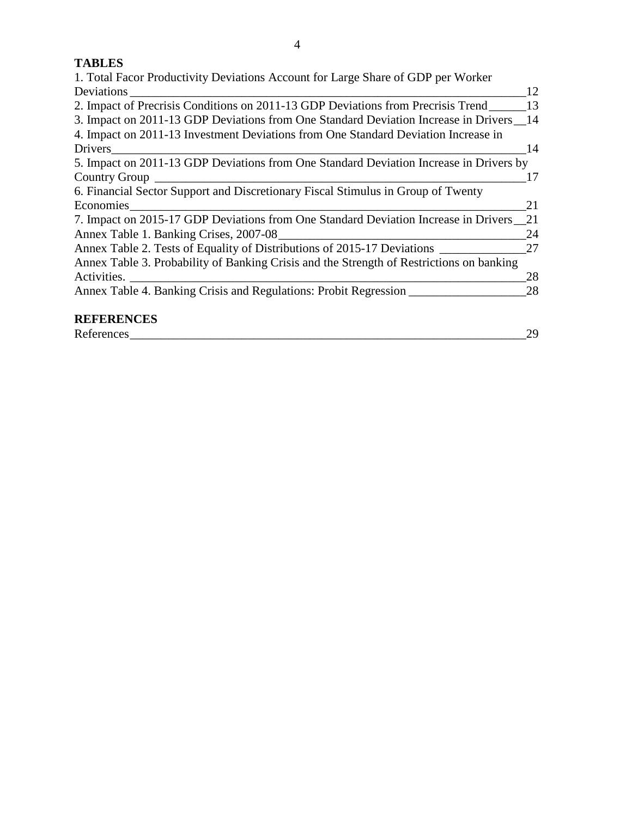## **TABLES**

| 1. Total Facor Productivity Deviations Account for Large Share of GDP per Worker         |    |
|------------------------------------------------------------------------------------------|----|
| Deviations_                                                                              | 12 |
| 2. Impact of Precrisis Conditions on 2011-13 GDP Deviations from Precrisis Trend         | 13 |
| 3. Impact on 2011-13 GDP Deviations from One Standard Deviation Increase in Drivers 14   |    |
| 4. Impact on 2011-13 Investment Deviations from One Standard Deviation Increase in       |    |
| Drivers<br><u> 1989 - Johann John Stein, fransk politik (d. 1989)</u>                    | 14 |
| 5. Impact on 2011-13 GDP Deviations from One Standard Deviation Increase in Drivers by   |    |
| Country Group                                                                            | 17 |
| 6. Financial Sector Support and Discretionary Fiscal Stimulus in Group of Twenty         |    |
| Economies                                                                                | 21 |
| 7. Impact on 2015-17 GDP Deviations from One Standard Deviation Increase in Drivers 21   |    |
|                                                                                          | 24 |
| Annex Table 2. Tests of Equality of Distributions of 2015-17 Deviations __________       | 27 |
| Annex Table 3. Probability of Banking Crisis and the Strength of Restrictions on banking |    |
|                                                                                          | 28 |
| Annex Table 4. Banking Crisis and Regulations: Probit Regression                         | 28 |
| <b>REFERENCES</b>                                                                        |    |
| References                                                                               | 29 |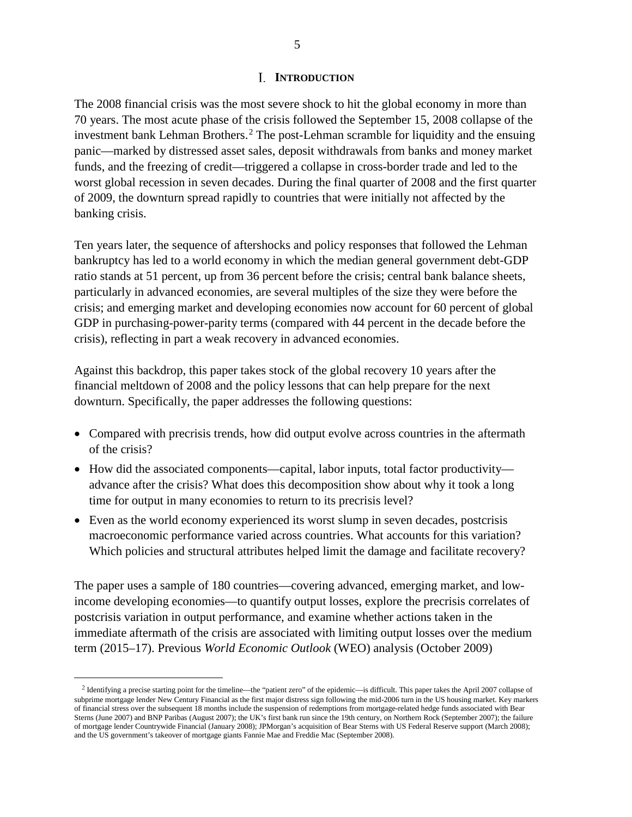#### **I. INTRODUCTION**

The 2008 financial crisis was the most severe shock to hit the global economy in more than 70 years. The most acute phase of the crisis followed the September 15, 2008 collapse of the investment bank Lehman Brothers. [2](#page-4-0) The post-Lehman scramble for liquidity and the ensuing panic—marked by distressed asset sales, deposit withdrawals from banks and money market funds, and the freezing of credit—triggered a collapse in cross-border trade and led to the worst global recession in seven decades. During the final quarter of 2008 and the first quarter of 2009, the downturn spread rapidly to countries that were initially not affected by the banking crisis.

Ten years later, the sequence of aftershocks and policy responses that followed the Lehman bankruptcy has led to a world economy in which the median general government debt-GDP ratio stands at 51 percent, up from 36 percent before the crisis; central bank balance sheets, particularly in advanced economies, are several multiples of the size they were before the crisis; and emerging market and developing economies now account for 60 percent of global GDP in purchasing-power-parity terms (compared with 44 percent in the decade before the crisis), reflecting in part a weak recovery in advanced economies.

Against this backdrop, this paper takes stock of the global recovery 10 years after the financial meltdown of 2008 and the policy lessons that can help prepare for the next downturn. Specifically, the paper addresses the following questions:

- Compared with precrisis trends, how did output evolve across countries in the aftermath of the crisis?
- How did the associated components—capital, labor inputs, total factor productivity advance after the crisis? What does this decomposition show about why it took a long time for output in many economies to return to its precrisis level?
- Even as the world economy experienced its worst slump in seven decades, postcrisis macroeconomic performance varied across countries. What accounts for this variation? Which policies and structural attributes helped limit the damage and facilitate recovery?

The paper uses a sample of 180 countries—covering advanced, emerging market, and lowincome developing economies—to quantify output losses, explore the precrisis correlates of postcrisis variation in output performance, and examine whether actions taken in the immediate aftermath of the crisis are associated with limiting output losses over the medium term (2015–17). Previous *World Economic Outlook* (WEO) analysis (October 2009)

 $\overline{a}$ 

<span id="page-4-0"></span><sup>2</sup> Identifying a precise starting point for the timeline—the "patient zero" of the epidemic—is difficult. This paper takes the April 2007 collapse of subprime mortgage lender New Century Financial as the first major distress sign following the mid-2006 turn in the US housing market. Key markers of financial stress over the subsequent 18 months include the suspension of redemptions from mortgage-related hedge funds associated with Bear Sterns (June 2007) and BNP Paribas (August 2007); the UK's first bank run since the 19th century, on Northern Rock (September 2007); the failure of mortgage lender Countrywide Financial (January 2008); JPMorgan's acquisition of Bear Sterns with US Federal Reserve support (March 2008); and the US government's takeover of mortgage giants Fannie Mae and Freddie Mac (September 2008).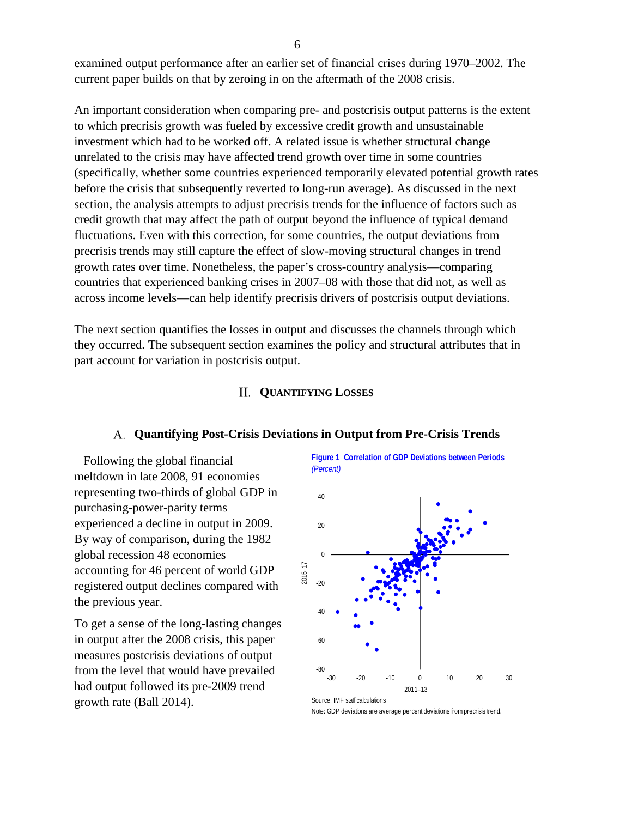examined output performance after an earlier set of financial crises during 1970–2002. The current paper builds on that by zeroing in on the aftermath of the 2008 crisis.

An important consideration when comparing pre- and postcrisis output patterns is the extent to which precrisis growth was fueled by excessive credit growth and unsustainable investment which had to be worked off. A related issue is whether structural change unrelated to the crisis may have affected trend growth over time in some countries (specifically, whether some countries experienced temporarily elevated potential growth rates before the crisis that subsequently reverted to long-run average). As discussed in the next section, the analysis attempts to adjust precrisis trends for the influence of factors such as credit growth that may affect the path of output beyond the influence of typical demand fluctuations. Even with this correction, for some countries, the output deviations from precrisis trends may still capture the effect of slow-moving structural changes in trend growth rates over time. Nonetheless, the paper's cross-country analysis—comparing countries that experienced banking crises in 2007–08 with those that did not, as well as across income levels—can help identify precrisis drivers of postcrisis output deviations.

The next section quantifies the losses in output and discusses the channels through which they occurred. The subsequent section examines the policy and structural attributes that in part account for variation in postcrisis output.

#### **QUANTIFYING LOSSES**

#### **Quantifying Post-Crisis Deviations in Output from Pre-Crisis Trends**

Following the global financial meltdown in late 2008, 91 economies representing two-thirds of global GDP in purchasing-power-parity terms experienced a decline in output in 2009. By way of comparison, during the 1982 global recession 48 economies accounting for 46 percent of world GDP registered output declines compared with the previous year.

To get a sense of the long-lasting changes in output after the 2008 crisis, this paper measures postcrisis deviations of output from the level that would have prevailed had output followed its pre-2009 trend growth rate (Ball 2014). Source: IMF staff calculations

**Figure 1 Correlation of GDP Deviations between Periods** *(Percent)*



Note: GDP deviations are average percent deviations from precrisis trend.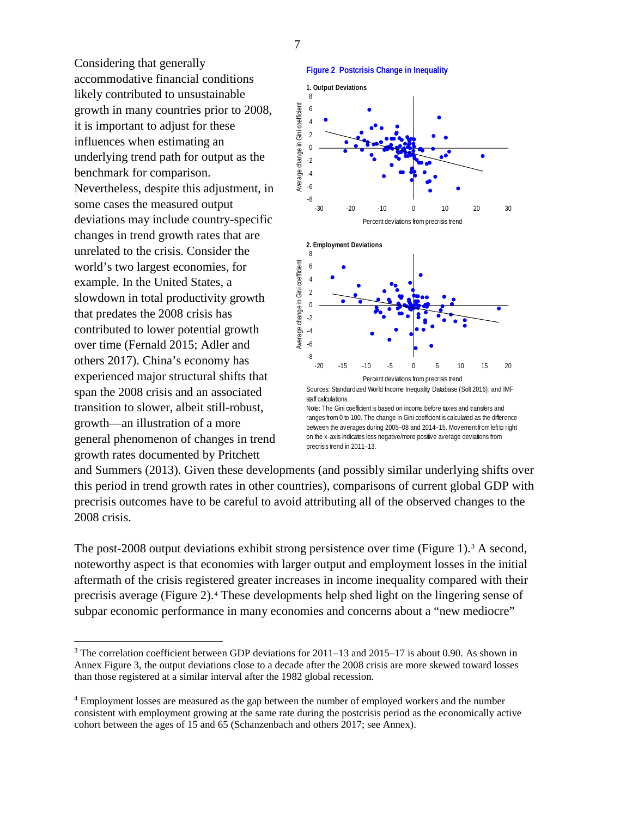7

Considering that generally accommodative financial conditions likely contributed to unsustainable growth in many countries prior to 2008, it is important to adjust for these influences when estimating an underlying trend path for output as the benchmark for comparison. Nevertheless, despite this adjustment, in some cases the measured output deviations may include country-specific changes in trend growth rates that are unrelated to the crisis. Consider the world's two largest economies, for example. In the United States, a slowdown in total productivity growth that predates the 2008 crisis has contributed to lower potential growth over time (Fernald 2015; Adler and others 2017). China's economy has experienced major structural shifts that span the 2008 crisis and an associated transition to slower, albeit still-robust, growth—an illustration of a more general phenomenon of changes in trend growth rates documented by Pritchett



ranges from 0 to 100. The change in Gini coefficient is calculated as the difference between the averages during 2005–08 and 2014–15. Movement from left to right on the x-axis indicates less negative/more positive average deviations from precrisis trend in 2011-13.

and Summers (2013). Given these developments (and possibly similar underlying shifts over this period in trend growth rates in other countries), comparisons of current global GDP with precrisis outcomes have to be careful to avoid attributing all of the observed changes to the 2008 crisis.

The post-2008 output deviations exhibit strong persistence over time (Figure 1).<sup>[3](#page-6-0)</sup> A second, noteworthy aspect is that economies with larger output and employment losses in the initial aftermath of the crisis registered greater increases in income inequality compared with their precrisis average (Figure 2).[4](#page-6-1) These developments help shed light on the lingering sense of subpar economic performance in many economies and concerns about a "new mediocre"

<span id="page-6-0"></span><sup>&</sup>lt;sup>3</sup> The correlation coefficient between GDP deviations for 2011–13 and 2015–17 is about 0.90. As shown in Annex Figure 3, the output deviations close to a decade after the 2008 crisis are more skewed toward losses than those registered at a similar interval after the 1982 global recession.

<span id="page-6-1"></span><sup>4</sup> Employment losses are measured as the gap between the number of employed workers and the number consistent with employment growing at the same rate during the postcrisis period as the economically active cohort between the ages of 15 and 65 (Schanzenbach and others 2017; see Annex).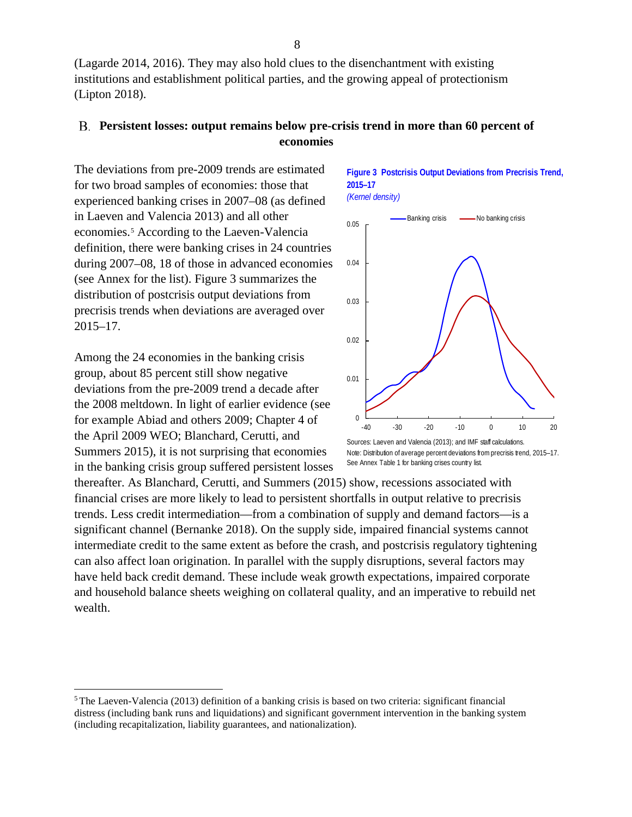(Lagarde 2014, 2016). They may also hold clues to the disenchantment with existing institutions and establishment political parties, and the growing appeal of protectionism (Lipton 2018).

## **Persistent losses: output remains below pre-crisis trend in more than 60 percent of economies**

The deviations from pre-2009 trends are estimated for two broad samples of economies: those that experienced banking crises in 2007–08 (as defined in Laeven and Valencia 2013) and all other economies.[5](#page-7-0) According to the Laeven-Valencia definition, there were banking crises in 24 countries during 2007–08, 18 of those in advanced economies (see Annex for the list). Figure 3 summarizes the distribution of postcrisis output deviations from precrisis trends when deviations are averaged over 2015–17.

Among the 24 economies in the banking crisis group, about 85 percent still show negative deviations from the pre-2009 trend a decade after the 2008 meltdown. In light of earlier evidence (see for example Abiad and others 2009; Chapter 4 of the April 2009 WEO; Blanchard, Cerutti, and Summers 2015), it is not surprising that economies in the banking crisis group suffered persistent losses **Figure 3 Postcrisis Output Deviations from Precrisis Trend, 2015–17**  *(Kernel density)*



Note: Distribution of average percent deviations from precrisis trend, 2015-17. See Annex Table 1 for banking crises country list.

thereafter. As Blanchard, Cerutti, and Summers (2015) show, recessions associated with financial crises are more likely to lead to persistent shortfalls in output relative to precrisis trends. Less credit intermediation—from a combination of supply and demand factors—is a significant channel (Bernanke 2018). On the supply side, impaired financial systems cannot intermediate credit to the same extent as before the crash, and postcrisis regulatory tightening can also affect loan origination. In parallel with the supply disruptions, several factors may have held back credit demand. These include weak growth expectations, impaired corporate and household balance sheets weighing on collateral quality, and an imperative to rebuild net wealth.

<span id="page-7-0"></span> $5$ The Laeven-Valencia (2013) definition of a banking crisis is based on two criteria: significant financial distress (including bank runs and liquidations) and significant government intervention in the banking system (including recapitalization, liability guarantees, and nationalization).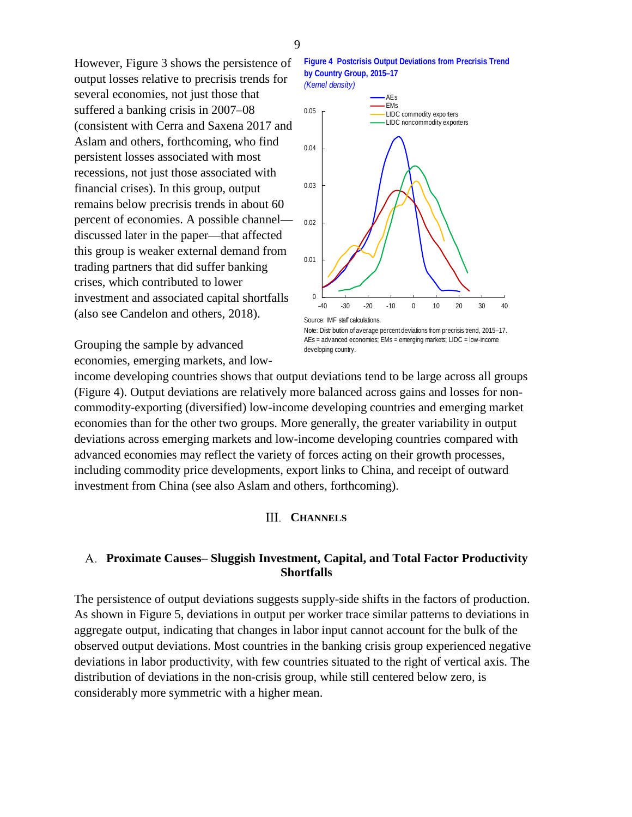However, Figure 3 shows the persistence of output losses relative to precrisis trends for several economies, not just those that suffered a banking crisis in 2007–08 (consistent with Cerra and Saxena 2017 and Aslam and others, forthcoming, who find persistent losses associated with most recessions, not just those associated with financial crises). In this group, output remains below precrisis trends in about 60 percent of economies. A possible channel discussed later in the paper—that affected this group is weaker external demand from trading partners that did suffer banking crises, which contributed to lower investment and associated capital shortfalls (also see Candelon and others, 2018).





Note: Distribution of average percent deviations from precrisis trend, 2015–17. AEs = advanced economies; EMs = emerging markets; LIDC = low-income developing country.

Grouping the sample by advanced economies, emerging markets, and low-

income developing countries shows that output deviations tend to be large across all groups (Figure 4). Output deviations are relatively more balanced across gains and losses for noncommodity-exporting (diversified) low-income developing countries and emerging market economies than for the other two groups. More generally, the greater variability in output deviations across emerging markets and low-income developing countries compared with advanced economies may reflect the variety of forces acting on their growth processes, including commodity price developments, export links to China, and receipt of outward investment from China (see also Aslam and others, forthcoming).

## **CHANNELS**

## **Proximate Causes– Sluggish Investment, Capital, and Total Factor Productivity Shortfalls**

The persistence of output deviations suggests supply-side shifts in the factors of production. As shown in Figure 5, deviations in output per worker trace similar patterns to deviations in aggregate output, indicating that changes in labor input cannot account for the bulk of the observed output deviations. Most countries in the banking crisis group experienced negative deviations in labor productivity, with few countries situated to the right of vertical axis. The distribution of deviations in the non-crisis group, while still centered below zero, is considerably more symmetric with a higher mean.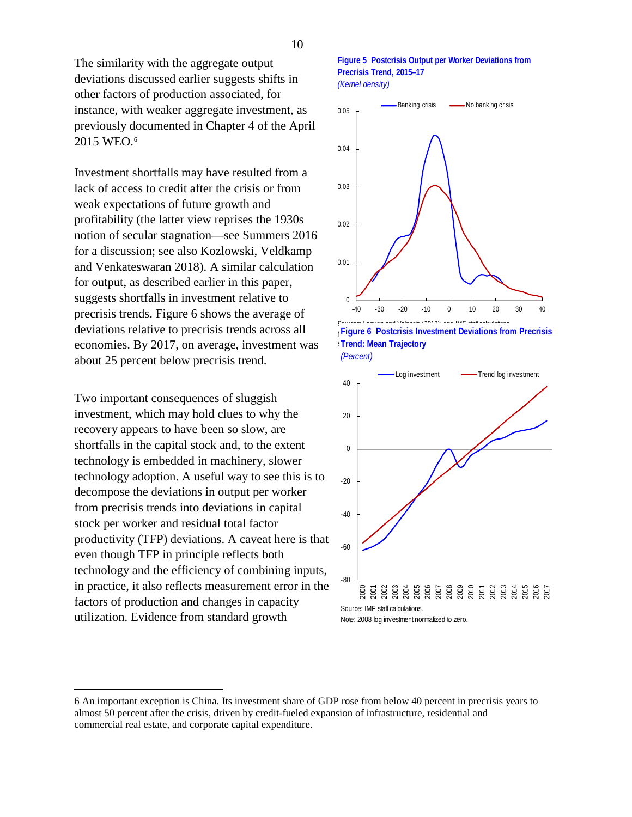The similarity with the aggregate output deviations discussed earlier suggests shifts in other factors of production associated, for instance, with weaker aggregate investment, as previously documented in Chapter 4 of the April 2015 WEO.[6](#page-9-0)

Investment shortfalls may have resulted from a lack of access to credit after the crisis or from weak expectations of future growth and profitability (the latter view reprises the 1930s notion of secular stagnation—see Summers 2016 for a discussion; see also Kozlowski, Veldkamp and Venkateswaran 2018). A similar calculation for output, as described earlier in this paper, suggests shortfalls in investment relative to precrisis trends. Figure 6 shows the average of deviations relative to precrisis trends across all economies. By 2017, on average, investment was about 25 percent below precrisis trend.

Two important consequences of sluggish investment, which may hold clues to why the recovery appears to have been so slow, are shortfalls in the capital stock and, to the extent technology is embedded in machinery, slower technology adoption. A useful way to see this is to decompose the deviations in output per worker from precrisis trends into deviations in capital stock per worker and residual total factor productivity (TFP) deviations. A caveat here is that even though TFP in principle reflects both technology and the efficiency of combining inputs, in practice, it also reflects measurement error in the factors of production and changes in capacity utilization. Evidence from standard growth





Sources: Laeven and Valencia (2013); and IMF staff calculations. **Figure 6 Postcrisis Investment Deviations from Precrisis See Annex Trajectory Trend: Mean Trajectory** 

*(Percent)*



<span id="page-9-0"></span> <sup>6</sup> An important exception is China. Its investment share of GDP rose from below 40 percent in precrisis years to almost 50 percent after the crisis, driven by credit-fueled expansion of infrastructure, residential and commercial real estate, and corporate capital expenditure.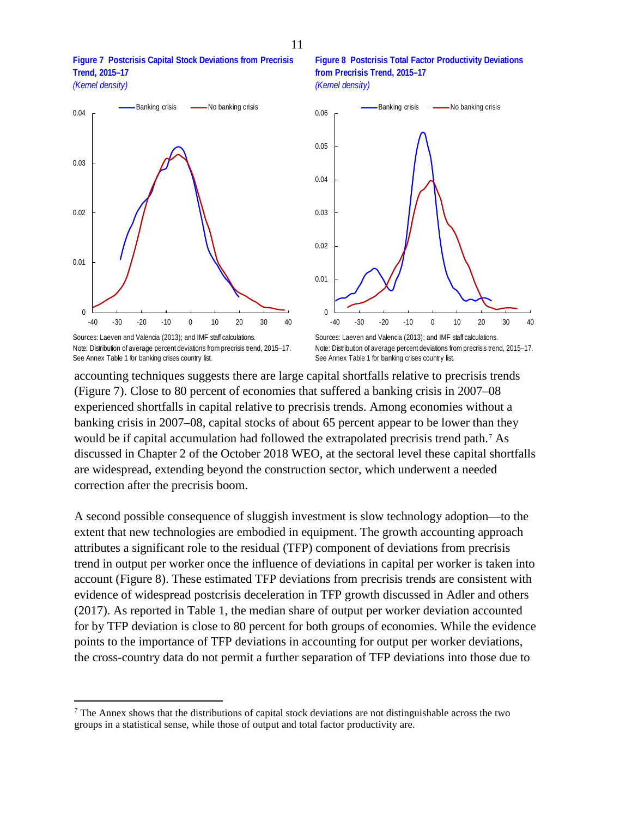**Figure 7 Postcrisis Capital Stock Deviations from Precrisis Trend, 2015–17**  *(Kernel density)*



Sources: Laeven and Valencia (2013); and IMF staff calculations. Note: Distribution of average percent deviations from precrisis trend, 2015–17. See Annex Table 1 for banking crises country list.





Note: Distribution of average percent deviations from precrisis trend, 2015–17. See Annex Table 1 for banking crises country list.

accounting techniques suggests there are large capital shortfalls relative to precrisis trends (Figure 7). Close to 80 percent of economies that suffered a banking crisis in 2007–08 experienced shortfalls in capital relative to precrisis trends. Among economies without a banking crisis in 2007–08, capital stocks of about 65 percent appear to be lower than they would be if capital accumulation had followed the extrapolated precrisis trend path.[7](#page-10-0) As discussed in Chapter 2 of the October 2018 WEO, at the sectoral level these capital shortfalls are widespread, extending beyond the construction sector, which underwent a needed correction after the precrisis boom.

A second possible consequence of sluggish investment is slow technology adoption—to the extent that new technologies are embodied in equipment. The growth accounting approach attributes a significant role to the residual (TFP) component of deviations from precrisis trend in output per worker once the influence of deviations in capital per worker is taken into account (Figure 8). These estimated TFP deviations from precrisis trends are consistent with evidence of widespread postcrisis deceleration in TFP growth discussed in Adler and others (2017). As reported in Table 1, the median share of output per worker deviation accounted for by TFP deviation is close to 80 percent for both groups of economies. While the evidence points to the importance of TFP deviations in accounting for output per worker deviations, the cross-country data do not permit a further separation of TFP deviations into those due to

<span id="page-10-0"></span><sup>&</sup>lt;sup>7</sup> The Annex shows that the distributions of capital stock deviations are not distinguishable across the two groups in a statistical sense, while those of output and total factor productivity are.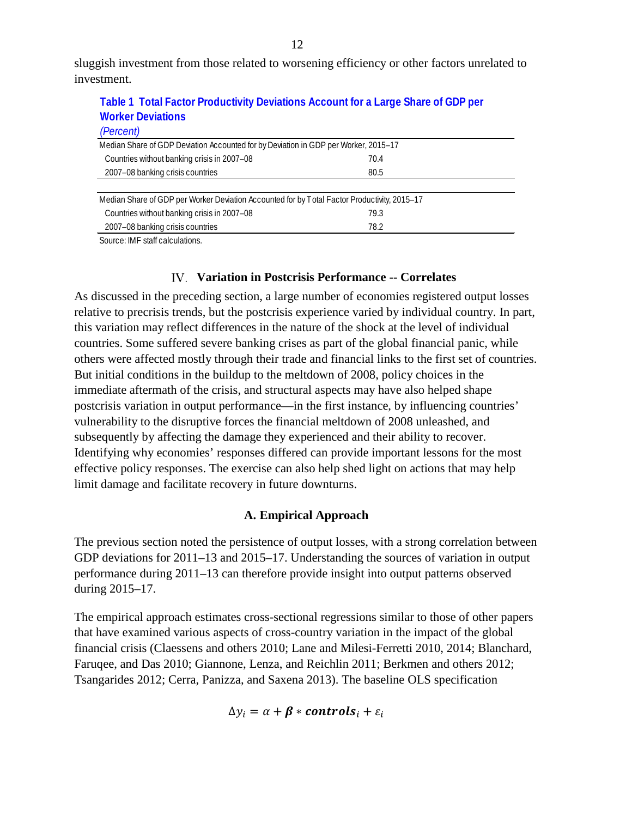sluggish investment from those related to worsening efficiency or other factors unrelated to investment.

| <b>Table 1</b> Total Factor Troubotting Bothanono Roccant for a Early Chart of CBT por       |      |  |  |  |  |  |  |
|----------------------------------------------------------------------------------------------|------|--|--|--|--|--|--|
| <b>Worker Deviations</b>                                                                     |      |  |  |  |  |  |  |
| (Percent)                                                                                    |      |  |  |  |  |  |  |
| Median Share of GDP Deviation Accounted for by Deviation in GDP per Worker, 2015-17          |      |  |  |  |  |  |  |
| Countries without banking crisis in 2007-08<br>70.4                                          |      |  |  |  |  |  |  |
| 2007-08 banking crisis countries                                                             | 80.5 |  |  |  |  |  |  |
|                                                                                              |      |  |  |  |  |  |  |
| Median Share of GDP per Worker Deviation Accounted for by Total Factor Productivity, 2015–17 |      |  |  |  |  |  |  |
| Countries without banking crisis in 2007-08                                                  | 79.3 |  |  |  |  |  |  |
| 2007-08 banking crisis countries                                                             | 78.2 |  |  |  |  |  |  |

**Table 1 Total Factor Productivity Deviations Account for a Large Share of GDP per** 

Source: IMF staff calculations.

#### **Variation in Postcrisis Performance -- Correlates**

As discussed in the preceding section, a large number of economies registered output losses relative to precrisis trends, but the postcrisis experience varied by individual country. In part, this variation may reflect differences in the nature of the shock at the level of individual countries. Some suffered severe banking crises as part of the global financial panic, while others were affected mostly through their trade and financial links to the first set of countries. But initial conditions in the buildup to the meltdown of 2008, policy choices in the immediate aftermath of the crisis, and structural aspects may have also helped shape postcrisis variation in output performance—in the first instance, by influencing countries' vulnerability to the disruptive forces the financial meltdown of 2008 unleashed, and subsequently by affecting the damage they experienced and their ability to recover. Identifying why economies' responses differed can provide important lessons for the most effective policy responses. The exercise can also help shed light on actions that may help limit damage and facilitate recovery in future downturns.

#### **A. Empirical Approach**

The previous section noted the persistence of output losses, with a strong correlation between GDP deviations for 2011–13 and 2015–17. Understanding the sources of variation in output performance during 2011–13 can therefore provide insight into output patterns observed during 2015–17.

The empirical approach estimates cross-sectional regressions similar to those of other papers that have examined various aspects of cross-country variation in the impact of the global financial crisis (Claessens and others 2010; Lane and Milesi-Ferretti 2010, 2014; Blanchard, Faruqee, and Das 2010; Giannone, Lenza, and Reichlin 2011; Berkmen and others 2012; Tsangarides 2012; Cerra, Panizza, and Saxena 2013). The baseline OLS specification

$$
\Delta y_i = \alpha + \beta * controls_i + \varepsilon_i
$$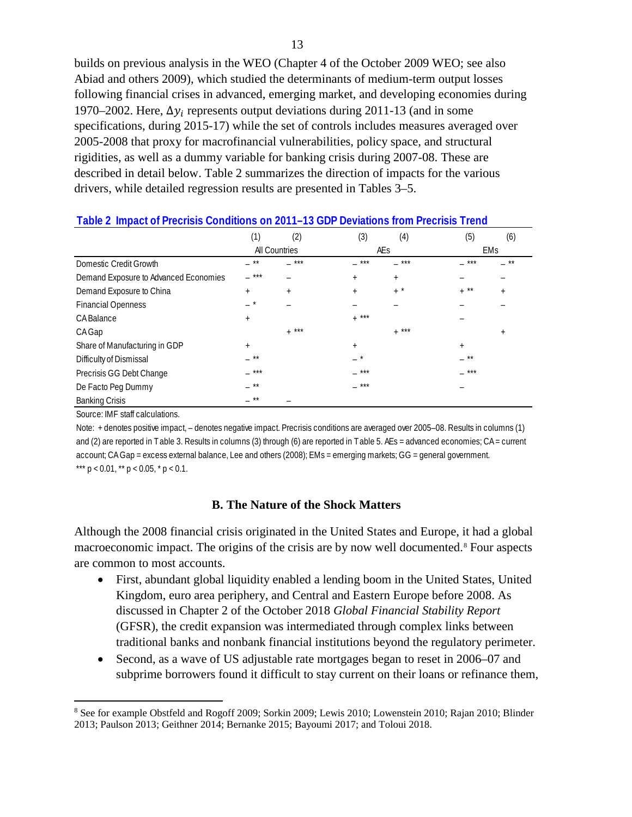builds on previous analysis in the WEO (Chapter 4 of the October 2009 WEO; see also Abiad and others 2009), which studied the determinants of medium-term output losses following financial crises in advanced, emerging market, and developing economies during 1970–2002. Here,  $\Delta y_i$  represents output deviations during 2011-13 (and in some specifications, during 2015-17) while the set of controls includes measures averaged over 2005-2008 that proxy for macrofinancial vulnerabilities, policy space, and structural rigidities, as well as a dummy variable for banking crisis during 2007-08. These are described in detail below. Table 2 summarizes the direction of impacts for the various drivers, while detailed regression results are presented in Tables 3–5.

| Table 2 Impact of Precrisis Conditions on 2011–13 GDP Deviations from Precrisis Trend |           |               |            |                  |        |           |
|---------------------------------------------------------------------------------------|-----------|---------------|------------|------------------|--------|-----------|
|                                                                                       | (1)       | (2)           | (3)        | (4)              | (5)    | (6)       |
|                                                                                       |           | All Countries |            | AEs              |        | EMs       |
| Domestic Credit Growth                                                                | $**$      | ***           | ***        | ***              | ***    | **        |
| Demand Exposure to Advanced Economies                                                 | ***       |               | $+$        | $+$              |        |           |
| Demand Exposure to China                                                              | $+$       | $^{+}$        | $+$        | $+$              | $+$ ** | $+$       |
| <b>Financial Openness</b>                                                             | $\star$   |               |            |                  |        |           |
| CA Balance                                                                            | $^{+}$    |               | ***<br>$+$ |                  |        |           |
| <b>CA Gap</b>                                                                         |           | $+$ ***       |            | ***<br>$\ddot{}$ |        | $\ddot{}$ |
| Share of Manufacturing in GDP                                                         | $\ddot{}$ |               | $+$        |                  | $^{+}$ |           |
| Difficulty of Dismissal                                                               | **        |               | $\star$    |                  | **     |           |
| Precrisis GG Debt Change                                                              | ***       |               | ***        |                  | ***    |           |
| De Facto Peg Dummy                                                                    | **        |               | ***        |                  |        |           |
| <b>Banking Crisis</b>                                                                 | $**$      |               |            |                  |        |           |

**Table 2 Impact of Precrisis Conditions on 2011–13 GDP Deviations from Precrisis Trend**

Source: IMF staff calculations.

Note: + denotes positive impact, – denotes negative impact. Precrisis conditions are averaged over 2005–08. Results in columns (1) and (2) are reported in Table 3. Results in columns (3) through (6) are reported in Table 5. AEs = advanced economies; CA = current account; CA Gap = excess external balance, Lee and others (2008); EMs = emerging markets; GG = general government. \*\*\*  $p < 0.01$ , \*\*  $p < 0.05$ , \*  $p < 0.1$ .

## **B. The Nature of the Shock Matters**

Although the 2008 financial crisis originated in the United States and Europe, it had a global macroeconomic impact. The origins of the crisis are by now well documented.<sup>[8](#page-12-0)</sup> Four aspects are common to most accounts.

- First, abundant global liquidity enabled a lending boom in the United States, United Kingdom, euro area periphery, and Central and Eastern Europe before 2008. As discussed in Chapter 2 of the October 2018 *Global Financial Stability Report* (GFSR), the credit expansion was intermediated through complex links between traditional banks and nonbank financial institutions beyond the regulatory perimeter.
- Second, as a wave of US adjustable rate mortgages began to reset in 2006–07 and subprime borrowers found it difficult to stay current on their loans or refinance them,

<span id="page-12-0"></span> <sup>8</sup> See for example Obstfeld and Rogoff 2009; Sorkin 2009; Lewis 2010; Lowenstein 2010; Rajan 2010; Blinder 2013; Paulson 2013; Geithner 2014; Bernanke 2015; Bayoumi 2017; and Toloui 2018.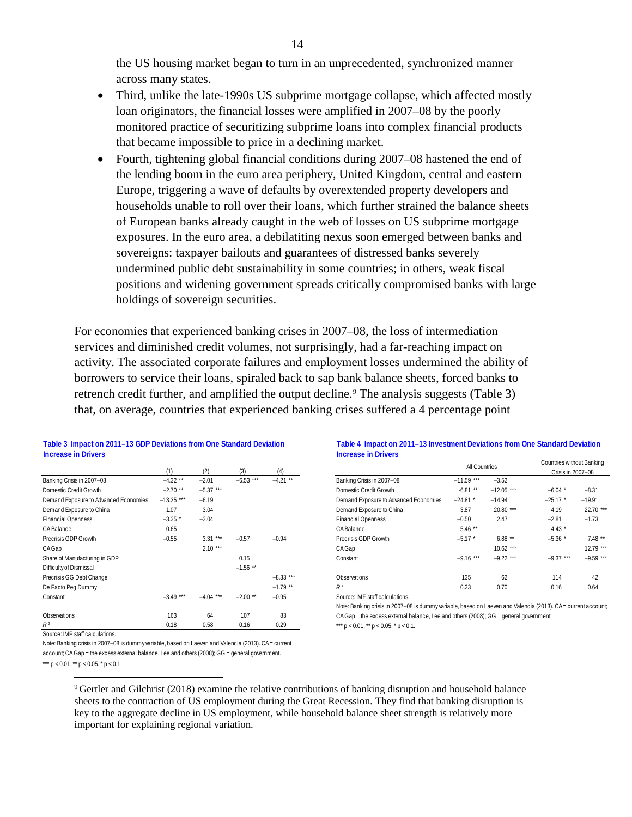the US housing market began to turn in an unprecedented, synchronized manner across many states.

- Third, unlike the late-1990s US subprime mortgage collapse, which affected mostly loan originators, the financial losses were amplified in 2007–08 by the poorly monitored practice of securitizing subprime loans into complex financial products that became impossible to price in a declining market.
- Fourth, tightening global financial conditions during 2007–08 hastened the end of the lending boom in the euro area periphery, United Kingdom, central and eastern Europe, triggering a wave of defaults by overextended property developers and households unable to roll over their loans, which further strained the balance sheets of European banks already caught in the web of losses on US subprime mortgage exposures. In the euro area, a debilatiting nexus soon emerged between banks and sovereigns: taxpayer bailouts and guarantees of distressed banks severely undermined public debt sustainability in some countries; in others, weak fiscal positions and widening government spreads critically compromised banks with large holdings of sovereign securities.

For economies that experienced banking crises in 2007–08, the loss of intermediation services and diminished credit volumes, not surprisingly, had a far-reaching impact on activity. The associated corporate failures and employment losses undermined the ability of borrowers to service their loans, spiraled back to sap bank balance sheets, forced banks to retrench credit further, and amplified the output decline.<sup>[9](#page-13-0)</sup> The analysis suggests (Table 3) that, on average, countries that experienced banking crises suffered a 4 percentage point

#### **Table 3 Impact on 2011–13 GDP Deviations from One Standard Deviation Increase in Drivers**

|                                       | (1)          | (2)         | (3)         | (4)         |                                                                                             | All Countries |              | Crisis   |
|---------------------------------------|--------------|-------------|-------------|-------------|---------------------------------------------------------------------------------------------|---------------|--------------|----------|
| Banking Crisis in 2007-08             | $-4.32$ **   | $-2.01$     | $-6.53$ *** | $-4.21$ **  | Banking Crisis in 2007-08                                                                   | $-11.59$ ***  | $-3.52$      |          |
| Domestic Credit Growth                | $-2.70$ **   | $-5.37***$  |             |             | Domestic Credit Growth                                                                      | $-6.81$ **    | $-12.05$ *** | $-6.04$  |
| Demand Exposure to Advanced Economies | $-13.35$ *** | $-6.19$     |             |             | Demand Exposure to Advanced Economies                                                       | $-24.81$ *    | $-14.94$     | $-25.17$ |
| Demand Exposure to China              | 1.07         | 3.04        |             |             | Demand Exposure to China                                                                    | 3.87          | 20.80 ***    | 4.19     |
| <b>Financial Openness</b>             | $-3.35$ *    | $-3.04$     |             |             | <b>Financial Openness</b>                                                                   | $-0.50$       | 2.47         | $-2.81$  |
| <b>CABalance</b>                      | 0.65         |             |             |             | <b>CABalance</b>                                                                            | $5.46$ **     |              | $4.43*$  |
| Precrisis GDP Growth                  | $-0.55$      | $3.31***$   | $-0.57$     | $-0.94$     | Precrisis GDP Growth                                                                        | $-5.17$ *     | $6.88***$    | $-5.36$  |
| CAGap                                 |              | $2.10***$   |             |             | CAGap                                                                                       |               | $10.62***$   |          |
| Share of Manufacturing in GDP         |              |             | 0.15        |             | Constant                                                                                    | $-9.16$ ***   | $-9.22$ ***  | $-9.37$  |
| Difficulty of Dismissal               |              |             | $-1.56$ **  |             |                                                                                             |               |              |          |
| Precrisis GG Debt Change              |              |             |             | $-8.33$ *** | Observations                                                                                | 135           | 62           | 114      |
| De Facto Peg Dummy                    |              |             |             | $-1.79$ **  | $R^2$                                                                                       | 0.23          | 0.70         | 0.16     |
| Constant                              | $-3.49$ ***  | $-4.04$ *** | $-2.00$ **  | $-0.95$     | Source: IMF staff calculations.                                                             |               |              |          |
|                                       |              |             |             |             | Note: Banking crisis in 2007–08 is dummy variable, based on Laeven and Valencia (2013). CA= |               |              |          |
| Observations                          | 163          | 64          | 107         | 83          | CA Gap = the excess external balance, Lee and others (2008); GG = general government.       |               |              |          |
| $R^2$                                 | 0.18         | 0.58        | 0.16        | 0.29        | *** $p < 0.01$ , ** $p < 0.05$ , * $p < 0.1$ .                                              |               |              |          |

#### **Table 4 Impact on 2011–13 Investment Deviations from One Standard Deviation Increase in Drivers**

|                                       | (1)          | (2)         | (3)         | (4)         |                                       | All Countries |              | Countries without Banking<br>Crisis in 2007-08 |             |
|---------------------------------------|--------------|-------------|-------------|-------------|---------------------------------------|---------------|--------------|------------------------------------------------|-------------|
| Banking Crisis in 2007-08             | $-4.32$ **   | $-2.01$     | $-6.53$ *** | $-4.21$ **  | Banking Crisis in 2007-08             | $-11.59$ ***  | $-3.52$      |                                                |             |
| Domestic Credit Growth                | $-2.70$ **   | $-5.37$ *** |             |             | Domestic Credit Growth                | $-6.81$ **    | $-12.05$ *** | $-6.04$ *                                      | $-8.31$     |
| Demand Exposure to Advanced Economies | $-13.35$ *** | $-6.19$     |             |             | Demand Exposure to Advanced Economies | $-24.81$ *    | $-14.94$     | $-25.17$ *                                     | $-19.91$    |
| Demand Exposure to China              | 1.07         | 3.04        |             |             | Demand Exposure to China              | 3.87          | 20.80 ***    | 4.19                                           | 22.70 ***   |
| <b>Financial Openness</b>             | $-3.35$ *    | $-3.04$     |             |             | <b>Financial Openness</b>             | $-0.50$       | 2.47         | $-2.81$                                        | $-1.73$     |
| CABalance                             | 0.65         |             |             |             | <b>CABalance</b>                      | $5.46$ **     |              | $4.43*$                                        |             |
| Precrisis GDP Growth                  | $-0.55$      | $3.31***$   | $-0.57$     | $-0.94$     | Precrisis GDP Growth                  | $-5.17$ *     | $6.88**$     | $-5.36$ *                                      | $7.48**$    |
| CAGap                                 |              | $2.10***$   |             |             | CAGap                                 |               | $10.62***$   |                                                | $12.79$ *** |
| Share of Manufacturing in GDP         |              |             | 0.15        |             | Constant                              | $-9.16$ ***   | $-9.22$ ***  | $-9.37***$                                     | $-9.59$ *** |
| Difficulty of Dismissal               |              |             | $-1.56$ **  |             |                                       |               |              |                                                |             |
| Precrisis GG Debt Change              |              |             |             | $-8.33$ *** | Observations                          | 135           | 62           | 114                                            | 42          |
| De Facto Peg Dummy                    |              |             |             | $-1.79$ **  | $R^2$                                 | 0.23          | 0.70         | 0.16                                           | 0.64        |

Note: Banking crisis in 2007–08 is dummy variable, based on Laeven and Valencia (2013). CA = current account; CA Gap = the excess external balance, Lee and others (2008); GG = general government. \*\*\*  $p < 0.01$ , \*\*  $p < 0.05$ , \*  $p < 0.1$ .

Source: IMF staff calculations.

<span id="page-13-0"></span>Note: Banking crisis in 2007–08 is dummy variable, based on Laeven and Valencia (2013). CA = current account; CA Gap = the excess external balance, Lee and others (2008); GG = general government. \*\*\*  $p < 0.01$ , \*\*  $p < 0.05$ , \*  $p < 0.1$ .

> 9 Gertler and Gilchrist (2018) examine the relative contributions of banking disruption and household balance sheets to the contraction of US employment during the Great Recession. They find that banking disruption is key to the aggregate decline in US employment, while household balance sheet strength is relatively more important for explaining regional variation.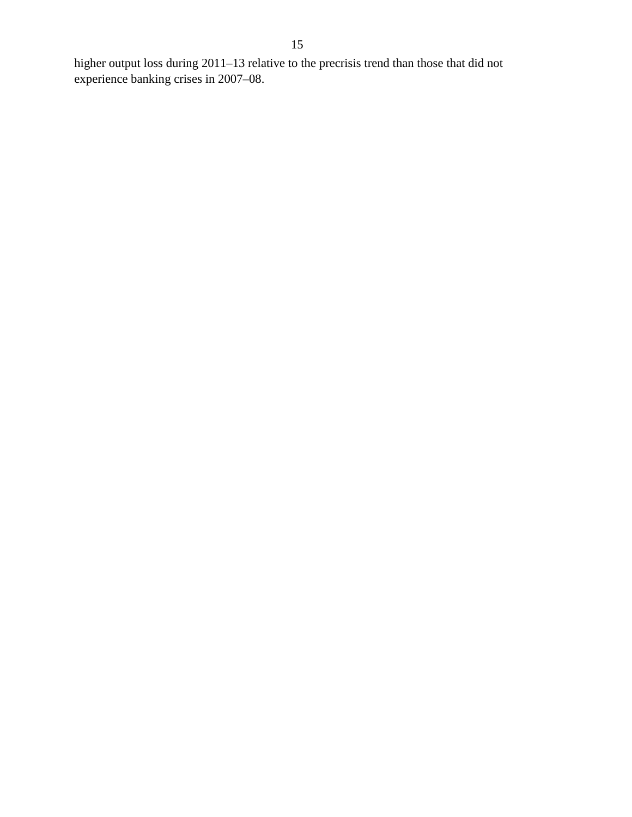higher output loss during 2011–13 relative to the precrisis trend than those that did not experience banking crises in 2007–08.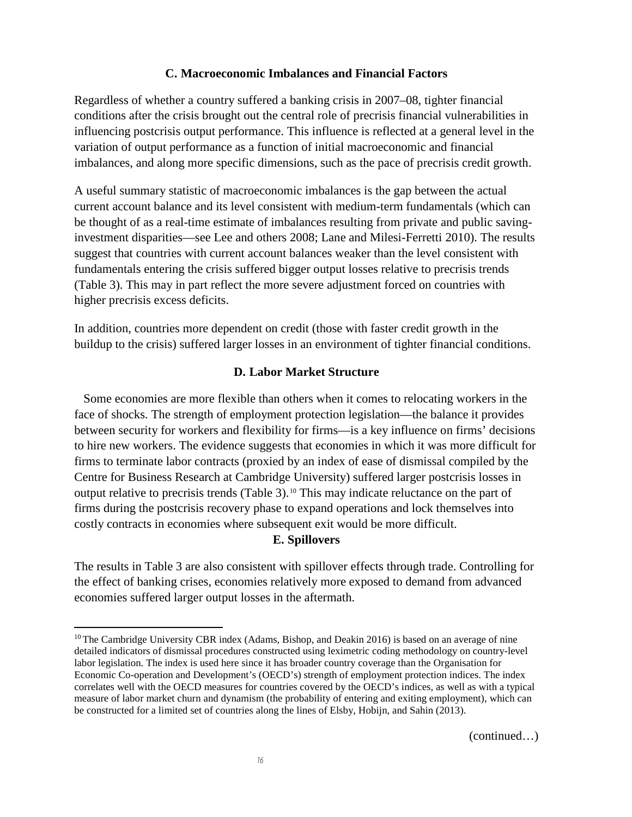#### **C. Macroeconomic Imbalances and Financial Factors**

Regardless of whether a country suffered a banking crisis in 2007–08, tighter financial conditions after the crisis brought out the central role of precrisis financial vulnerabilities in influencing postcrisis output performance. This influence is reflected at a general level in the variation of output performance as a function of initial macroeconomic and financial imbalances, and along more specific dimensions, such as the pace of precrisis credit growth.

A useful summary statistic of macroeconomic imbalances is the gap between the actual current account balance and its level consistent with medium-term fundamentals (which can be thought of as a real-time estimate of imbalances resulting from private and public savinginvestment disparities—see Lee and others 2008; Lane and Milesi-Ferretti 2010). The results suggest that countries with current account balances weaker than the level consistent with fundamentals entering the crisis suffered bigger output losses relative to precrisis trends (Table 3). This may in part reflect the more severe adjustment forced on countries with higher precrisis excess deficits.

In addition, countries more dependent on credit (those with faster credit growth in the buildup to the crisis) suffered larger losses in an environment of tighter financial conditions.

#### **D. Labor Market Structure**

Some economies are more flexible than others when it comes to relocating workers in the face of shocks. The strength of employment protection legislation—the balance it provides between security for workers and flexibility for firms—is a key influence on firms' decisions to hire new workers. The evidence suggests that economies in which it was more difficult for firms to terminate labor contracts (proxied by an index of ease of dismissal compiled by the Centre for Business Research at Cambridge University) suffered larger postcrisis losses in output relative to precrisis trends (Table 3).[10](#page-15-0) This may indicate reluctance on the part of firms during the postcrisis recovery phase to expand operations and lock themselves into costly contracts in economies where subsequent exit would be more difficult.

#### **E. Spillovers**

The results in Table 3 are also consistent with spillover effects through trade. Controlling for the effect of banking crises, economies relatively more exposed to demand from advanced economies suffered larger output losses in the aftermath.

<span id="page-15-0"></span><sup>&</sup>lt;sup>10</sup> The Cambridge University CBR index (Adams, Bishop, and Deakin 2016) is based on an average of nine detailed indicators of dismissal procedures constructed using leximetric coding methodology on country-level labor legislation. The index is used here since it has broader country coverage than the Organisation for Economic Co-operation and Development's (OECD's) strength of employment protection indices. The index correlates well with the OECD measures for countries covered by the OECD's indices, as well as with a typical measure of labor market churn and dynamism (the probability of entering and exiting employment), which can be constructed for a limited set of countries along the lines of Elsby, Hobijn, and Sahin (2013).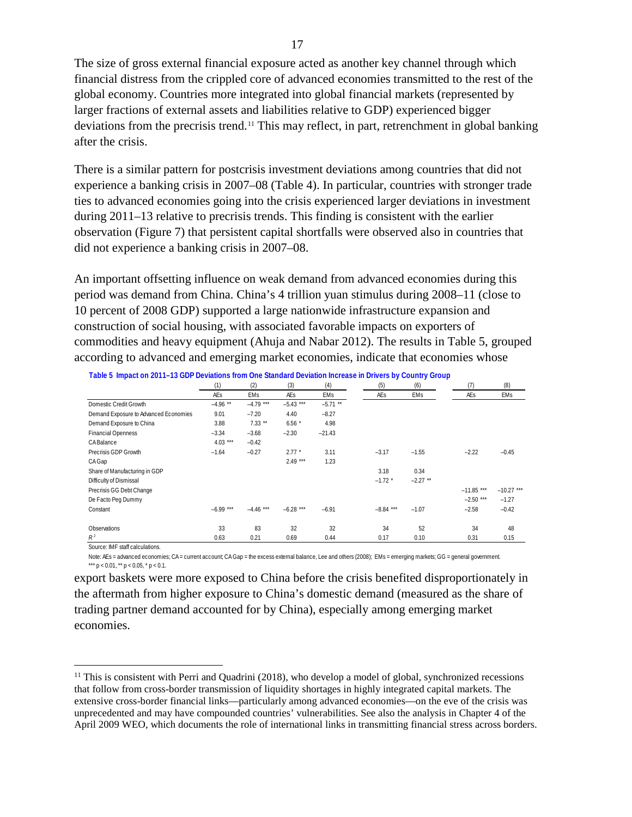The size of gross external financial exposure acted as another key channel through which financial distress from the crippled core of advanced economies transmitted to the rest of the global economy. Countries more integrated into global financial markets (represented by larger fractions of external assets and liabilities relative to GDP) experienced bigger deviations from the precrisis trend.[11](#page-16-0) This may reflect, in part, retrenchment in global banking after the crisis.

There is a similar pattern for postcrisis investment deviations among countries that did not experience a banking crisis in 2007–08 (Table 4). In particular, countries with stronger trade ties to advanced economies going into the crisis experienced larger deviations in investment during 2011–13 relative to precrisis trends. This finding is consistent with the earlier observation (Figure 7) that persistent capital shortfalls were observed also in countries that did not experience a banking crisis in 2007–08.

An important offsetting influence on weak demand from advanced economies during this period was demand from China. China's 4 trillion yuan stimulus during 2008–11 (close to 10 percent of 2008 GDP) supported a large nationwide infrastructure expansion and construction of social housing, with associated favorable impacts on exporters of commodities and heavy equipment (Ahuja and Nabar 2012). The results in Table 5, grouped according to advanced and emerging market economies, indicate that economies whose

|                                       | (1)        | (2)         | (3)         | (4)        | (5)         | (6)        | (7)          | (8)          |
|---------------------------------------|------------|-------------|-------------|------------|-------------|------------|--------------|--------------|
|                                       | <b>AEs</b> | <b>EMs</b>  | AEs         | EMs        | AEs         | EMs        | AEs          | EMs          |
| Domestic Credit Growth                | $-4.96$ ** | $-4.79$ *** | $-5.43$ *** | $-5.71$ ** |             |            |              |              |
| Demand Exposure to Advanced Economies | 9.01       | $-7.20$     | 4.40        | $-8.27$    |             |            |              |              |
| Demand Exposure to China              | 3.88       | $7.33**$    | $6.56*$     | 4.98       |             |            |              |              |
| <b>Financial Openness</b>             | $-3.34$    | $-3.68$     | $-2.30$     | $-21.43$   |             |            |              |              |
| <b>CABalance</b>                      | $4.03***$  | $-0.42$     |             |            |             |            |              |              |
| Precrisis GDP Growth                  | $-1.64$    | $-0.27$     | $2.77*$     | 3.11       | $-3.17$     | $-1.55$    | $-2.22$      | $-0.45$      |
| CAGap                                 |            |             | $2.49***$   | 1.23       |             |            |              |              |
| Share of Manufacturing in GDP         |            |             |             |            | 3.18        | 0.34       |              |              |
| Difficulty of Dismissal               |            |             |             |            | $-1.72$ *   | $-2.27$ ** |              |              |
| Precrisis GG Debt Change              |            |             |             |            |             |            | $-11.85$ *** | $-10.27$ *** |
| De Facto Peg Dummy                    |            |             |             |            |             |            | $-2.50$ ***  | $-1.27$      |
| Constant                              | $-6.99***$ | $-4.46$ *** | $-6.28$ *** | $-6.91$    | $-8.84$ *** | $-1.07$    | $-2.58$      | $-0.42$      |
| Observations                          | 33         | 83          | 32          | 32         | 34          | 52         | 34           | 48           |
| $R^2$                                 | 0.63       | 0.21        | 0.69        | 0.44       | 0.17        | 0.10       | 0.31         | 0.15         |

**Table 5 Impact on 2011–13 GDP Deviations from One Standard Deviation Increase in Drivers by Country Group**

Source: IMF staff calculations.

Note: AEs = advanced economies; CA = current account; CA Gap = the excess external balance, Lee and others (2008); EMs = emerging markets; GG = general government. \*\*\*  $p < 0.01$ , \*\*  $p < 0.05$ , \*  $p < 0.1$ .

export baskets were more exposed to China before the crisis benefited disproportionately in the aftermath from higher exposure to China's domestic demand (measured as the share of trading partner demand accounted for by China), especially among emerging market economies.

<span id="page-16-0"></span> $11$  This is consistent with Perri and Quadrini (2018), who develop a model of global, synchronized recessions that follow from cross-border transmission of liquidity shortages in highly integrated capital markets. The extensive cross-border financial links—particularly among advanced economies—on the eve of the crisis was unprecedented and may have compounded countries' vulnerabilities. See also the analysis in Chapter 4 of the April 2009 WEO, which documents the role of international links in transmitting financial stress across borders.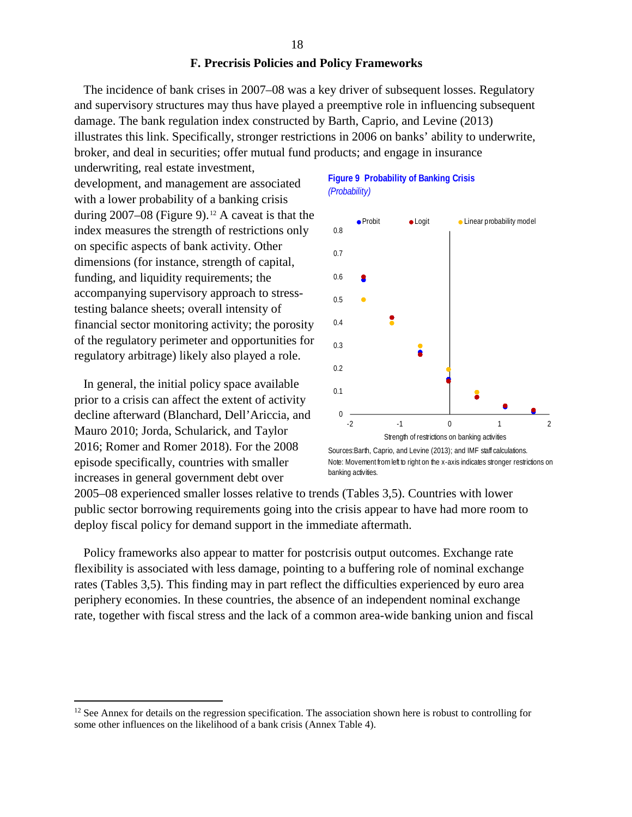#### **F. Precrisis Policies and Policy Frameworks**

The incidence of bank crises in 2007–08 was a key driver of subsequent losses. Regulatory and supervisory structures may thus have played a preemptive role in influencing subsequent damage. The bank regulation index constructed by Barth, Caprio, and Levine (2013) illustrates this link. Specifically, stronger restrictions in 2006 on banks' ability to underwrite, broker, and deal in securities; offer mutual fund products; and engage in insurance

underwriting, real estate investment, development, and management are associated with a lower probability of a banking crisis during  $2007-08$  (Figure 9).<sup>[12](#page-17-0)</sup> A caveat is that the index measures the strength of restrictions only on specific aspects of bank activity. Other dimensions (for instance, strength of capital, funding, and liquidity requirements; the accompanying supervisory approach to stresstesting balance sheets; overall intensity of financial sector monitoring activity; the porosity of the regulatory perimeter and opportunities for regulatory arbitrage) likely also played a role.

In general, the initial policy space available prior to a crisis can affect the extent of activity decline afterward (Blanchard, Dell'Ariccia, and Mauro 2010; Jorda, Schularick, and Taylor 2016; Romer and Romer 2018). For the 2008 episode specifically, countries with smaller increases in general government debt over

#### **Figure 9 Probability of Banking Crisis** *(Probability)*



Sources:Barth, Caprio, and Levine (2013); and IMF staff calculations. Note: Movement from left to right on the x-axis indicates stronger restrictions on banking activities.

2005–08 experienced smaller losses relative to trends (Tables 3,5). Countries with lower public sector borrowing requirements going into the crisis appear to have had more room to deploy fiscal policy for demand support in the immediate aftermath.

Policy frameworks also appear to matter for postcrisis output outcomes. Exchange rate flexibility is associated with less damage, pointing to a buffering role of nominal exchange rates (Tables 3,5). This finding may in part reflect the difficulties experienced by euro area periphery economies. In these countries, the absence of an independent nominal exchange rate, together with fiscal stress and the lack of a common area-wide banking union and fiscal

<span id="page-17-0"></span> $12$  See Annex for details on the regression specification. The association shown here is robust to controlling for some other influences on the likelihood of a bank crisis (Annex Table 4).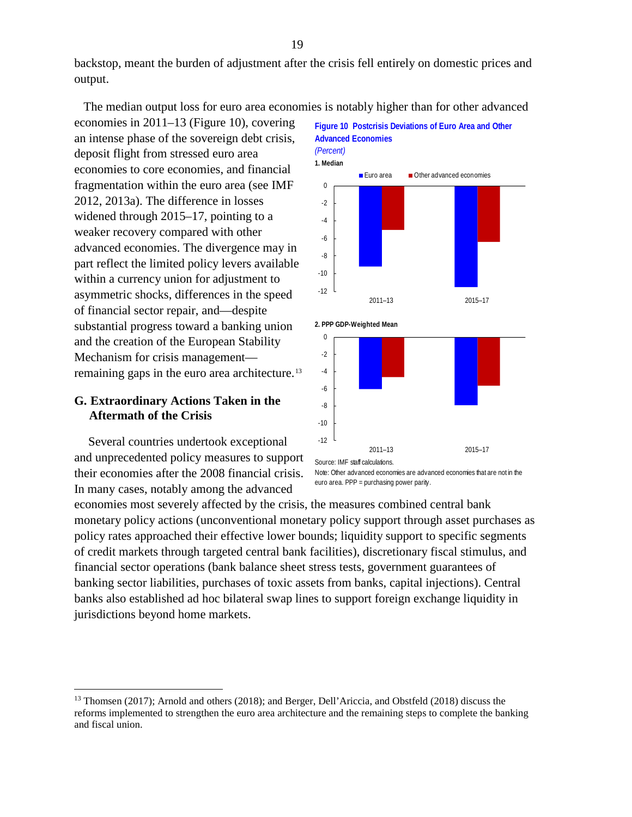backstop, meant the burden of adjustment after the crisis fell entirely on domestic prices and output.

The median output loss for euro area economies is notably higher than for other advanced

economies in 2011–13 (Figure 10), covering an intense phase of the sovereign debt crisis, deposit flight from stressed euro area economies to core economies, and financial fragmentation within the euro area (see IMF 2012, 2013a). The difference in losses widened through 2015–17, pointing to a weaker recovery compared with other advanced economies. The divergence may in part reflect the limited policy levers available within a currency union for adjustment to asymmetric shocks, differences in the speed of financial sector repair, and—despite substantial progress toward a banking union and the creation of the European Stability Mechanism for crisis management— remaining gaps in the euro area architecture.<sup>[13](#page-18-0)</sup>

## **G. Extraordinary Actions Taken in the Aftermath of the Crisis**

Several countries undertook exceptional and unprecedented policy measures to support their economies after the 2008 financial crisis. In many cases, notably among the advanced





euro area. PPP = purchasing power parity.

economies most severely affected by the crisis, the measures combined central bank monetary policy actions (unconventional monetary policy support through asset purchases as policy rates approached their effective lower bounds; liquidity support to specific segments of credit markets through targeted central bank facilities), discretionary fiscal stimulus, and financial sector operations (bank balance sheet stress tests, government guarantees of banking sector liabilities, purchases of toxic assets from banks, capital injections). Central banks also established ad hoc bilateral swap lines to support foreign exchange liquidity in jurisdictions beyond home markets.

<span id="page-18-0"></span> <sup>13</sup> Thomsen (2017); Arnold and others (2018); and Berger, Dell'Ariccia, and Obstfeld (2018) discuss the reforms implemented to strengthen the euro area architecture and the remaining steps to complete the banking and fiscal union.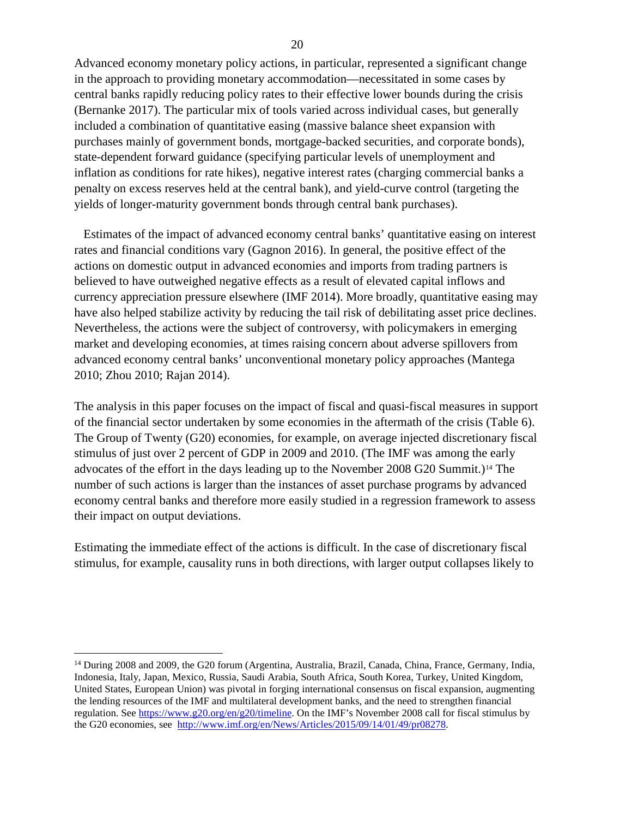Advanced economy monetary policy actions, in particular, represented a significant change in the approach to providing monetary accommodation—necessitated in some cases by central banks rapidly reducing policy rates to their effective lower bounds during the crisis (Bernanke 2017). The particular mix of tools varied across individual cases, but generally included a combination of quantitative easing (massive balance sheet expansion with purchases mainly of government bonds, mortgage-backed securities, and corporate bonds), state-dependent forward guidance (specifying particular levels of unemployment and inflation as conditions for rate hikes), negative interest rates (charging commercial banks a penalty on excess reserves held at the central bank), and yield-curve control (targeting the yields of longer-maturity government bonds through central bank purchases).

Estimates of the impact of advanced economy central banks' quantitative easing on interest rates and financial conditions vary (Gagnon 2016). In general, the positive effect of the actions on domestic output in advanced economies and imports from trading partners is believed to have outweighed negative effects as a result of elevated capital inflows and currency appreciation pressure elsewhere (IMF 2014). More broadly, quantitative easing may have also helped stabilize activity by reducing the tail risk of debilitating asset price declines. Nevertheless, the actions were the subject of controversy, with policymakers in emerging market and developing economies, at times raising concern about adverse spillovers from advanced economy central banks' unconventional monetary policy approaches (Mantega 2010; Zhou 2010; Rajan 2014).

The analysis in this paper focuses on the impact of fiscal and quasi-fiscal measures in support of the financial sector undertaken by some economies in the aftermath of the crisis (Table 6). The Group of Twenty (G20) economies, for example, on average injected discretionary fiscal stimulus of just over 2 percent of GDP in 2009 and 2010. (The IMF was among the early advocates of the effort in the days leading up to the November 2008 G20 Summit.)[14](#page-19-0) The number of such actions is larger than the instances of asset purchase programs by advanced economy central banks and therefore more easily studied in a regression framework to assess their impact on output deviations.

Estimating the immediate effect of the actions is difficult. In the case of discretionary fiscal stimulus, for example, causality runs in both directions, with larger output collapses likely to

<span id="page-19-0"></span><sup>&</sup>lt;sup>14</sup> During 2008 and 2009, the G20 forum (Argentina, Australia, Brazil, Canada, China, France, Germany, India, Indonesia, Italy, Japan, Mexico, Russia, Saudi Arabia, South Africa, South Korea, Turkey, United Kingdom, United States, European Union) was pivotal in forging international consensus on fiscal expansion, augmenting the lending resources of the IMF and multilateral development banks, and the need to strengthen financial regulation. See [https://www.g20.org/en/g20/timeline.](https://www.g20.org/en/g20/timeline) On the IMF's November 2008 call for fiscal stimulus by the G20 economies, see [http://www.imf.org/en/News/Articles/2015/09/14/01/49/pr08278.](http://www.imf.org/en/News/Articles/2015/09/14/01/49/pr08278)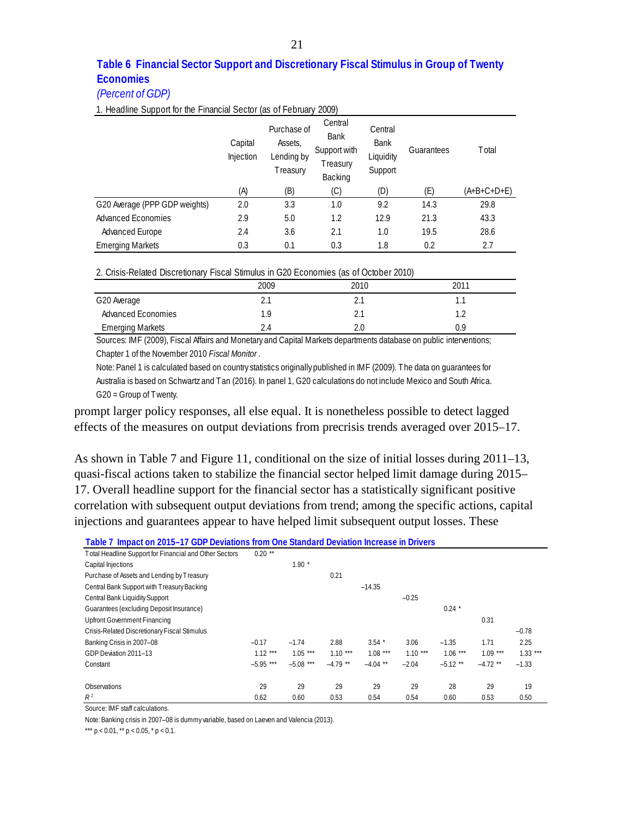## **Table 6 Financial Sector Support and Discretionary Fiscal Stimulus in Group of Twenty Economies**

#### *(Percent of GDP)*

1. Headline Support for the Financial Sector (as of February 2009)

|                               | Capital<br>Injection | Purchase of<br>Assets,<br>Lending by<br>Treasury | Central<br><b>Bank</b><br>Support with<br>Treasury<br>Backing | Central<br><b>Bank</b><br>Liquidity<br>Support | Guarantees | <b>T</b> otal |
|-------------------------------|----------------------|--------------------------------------------------|---------------------------------------------------------------|------------------------------------------------|------------|---------------|
|                               | (A)                  | (B)                                              | (C)                                                           | (D)                                            | (E)        | $(A+B+C+D+E)$ |
| G20 Average (PPP GDP weights) | 2.0                  | 3.3                                              | 1.0                                                           | 9.2                                            | 14.3       | 29.8          |
| <b>Advanced Economies</b>     | 2.9                  | 5.0                                              | 1.2                                                           | 12.9                                           | 21.3       | 43.3          |
| Advanced Europe               | 2.4                  | 3.6                                              | 2.1                                                           | 1.0                                            | 19.5       | 28.6          |
| <b>Emerging Markets</b>       | 0.3                  | 0.1                                              | 0.3                                                           | 1.8                                            | 0.2        | 2.7           |

2. Crisis-Related Discretionary Fiscal Stimulus in G20 Economies (as of October 2010)

|                           | 2009 | 2010 | 2011 |
|---------------------------|------|------|------|
| G20 Average               | z.,  |      | . .  |
| <b>Advanced Economies</b> | 1.9  |      |      |
| <b>Emerging Markets</b>   | 2.4  |      |      |

Sources: IMF (2009), Fiscal Affairs and Monetary and Capital Markets departments database on public interventions; Chapter 1 of the November 2010 *Fiscal Monitor* .

Note: Panel 1 is calculated based on country statistics originally published in IMF (2009). The data on guarantees for Australia is based on Schwartz and Tan (2016). In panel 1, G20 calculations do not include Mexico and South Africa. G20 = Group of Twenty.

prompt larger policy responses, all else equal. It is nonetheless possible to detect lagged effects of the measures on output deviations from precrisis trends averaged over 2015–17.

As shown in Table 7 and Figure 11, conditional on the size of initial losses during 2011–13, quasi-fiscal actions taken to stabilize the financial sector helped limit damage during 2015– 17. Overall headline support for the financial sector has a statistically significant positive correlation with subsequent output deviations from trend; among the specific actions, capital injections and guarantees appear to have helped limit subsequent output losses. These

| Table 7 Impact on 2015–17 GDP Deviations from One Standard Deviation Increase in Drivers |  |  |  |  |  |  |
|------------------------------------------------------------------------------------------|--|--|--|--|--|--|
|------------------------------------------------------------------------------------------|--|--|--|--|--|--|

| Total Headline Support for Financial and Other Sectors | $0.20**$    |             |            |            |           |            |            |           |
|--------------------------------------------------------|-------------|-------------|------------|------------|-----------|------------|------------|-----------|
| Capital Injections                                     |             | $1.90*$     |            |            |           |            |            |           |
| Purchase of Assets and Lending by Treasury             |             |             | 0.21       |            |           |            |            |           |
| Central Bank Support with Treasury Backing             |             |             |            | $-14.35$   |           |            |            |           |
| Central Bank Liquidity Support                         |             |             |            |            | $-0.25$   |            |            |           |
| Guarantees (excluding Deposit Insurance)               |             |             |            |            |           | $0.24$ *   |            |           |
| <b>Upfront Government Financing</b>                    |             |             |            |            |           |            | 0.31       |           |
| Crisis-Related Discretionary Fiscal Stimulus           |             |             |            |            |           |            |            | $-0.78$   |
| Banking Crisis in 2007-08                              | $-0.17$     | $-1.74$     | 2.88       | $3.54*$    | 3.06      | $-1.35$    | 1.71       | 2.25      |
| GDP Deviation 2011-13                                  | $1.12***$   | $1.05***$   | $1.10***$  | $1.08***$  | $1.10***$ | $1.06***$  | $1.09***$  | $1.33***$ |
| Constant                                               | $-5.95$ *** | $-5.08$ *** | $-4.79$ ** | $-4.04$ ** | $-2.04$   | $-5.12$ ** | $-4.72$ ** | $-1.33$   |
|                                                        |             |             |            |            |           |            |            |           |
| Observations                                           | 29          | 29          | 29         | 29         | 29        | 28         | 29         | 19        |
| $R^2$                                                  | 0.62        | 0.60        | 0.53       | 0.54       | 0.54      | 0.60       | 0.53       | 0.50      |

Source: IMF staff calculations.

Note: Banking crisis in 2007–08 is dummy variable, based on Laeven and Valencia (2013).

\*\*\*  $p < 0.01$ , \*\*  $p < 0.05$ , \*  $p < 0.1$ .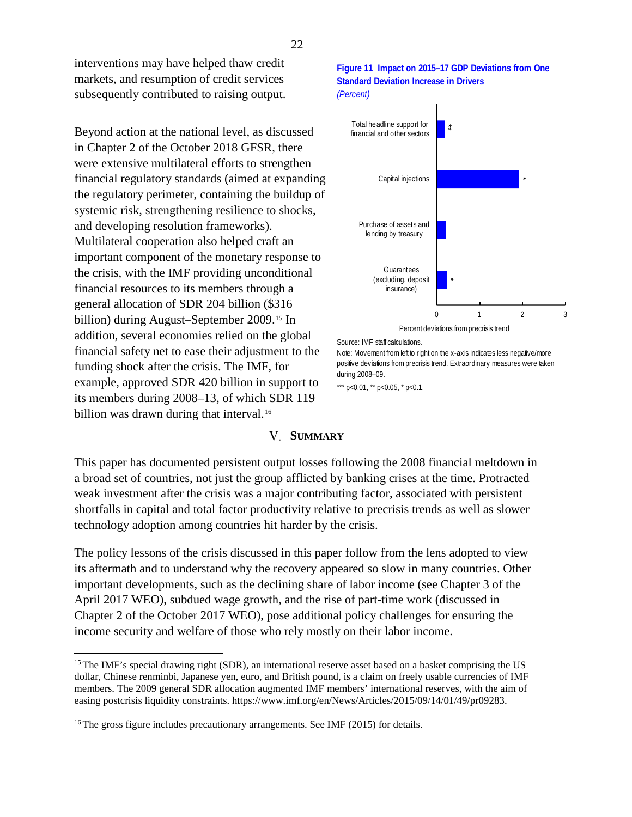interventions may have helped thaw credit markets, and resumption of credit services subsequently contributed to raising output.

Beyond action at the national level, as discussed in Chapter 2 of the October 2018 GFSR, there were extensive multilateral efforts to strengthen financial regulatory standards (aimed at expanding the regulatory perimeter, containing the buildup of systemic risk, strengthening resilience to shocks, and developing resolution frameworks). Multilateral cooperation also helped craft an important component of the monetary response to the crisis, with the IMF providing unconditional financial resources to its members through a general allocation of SDR 204 billion (\$316 billion) during August–September 2009.[15](#page-21-0) In addition, several economies relied on the global financial safety net to ease their adjustment to the funding shock after the crisis. The IMF, for example, approved SDR 420 billion in support to its members during 2008–13, of which SDR 119 billion was drawn during that interval.<sup>[16](#page-21-1)</sup>

#### **Figure 11 Impact on 2015–17 GDP Deviations from One Standard Deviation Increase in Drivers** *(Percent)*



Source: IMF staff calculations.

Note: Movement from left to right on the x-axis indicates less negative/more positive deviations from precrisis trend. Extraordinary measures were taken during 2008–09.

\*\*\*  $p<0.01$ , \*\*  $p<0.05$ , \*  $p<0.1$ .

#### **SUMMARY**

This paper has documented persistent output losses following the 2008 financial meltdown in a broad set of countries, not just the group afflicted by banking crises at the time. Protracted weak investment after the crisis was a major contributing factor, associated with persistent shortfalls in capital and total factor productivity relative to precrisis trends as well as slower technology adoption among countries hit harder by the crisis.

The policy lessons of the crisis discussed in this paper follow from the lens adopted to view its aftermath and to understand why the recovery appeared so slow in many countries. Other important developments, such as the declining share of labor income (see Chapter 3 of the April 2017 WEO), subdued wage growth, and the rise of part-time work (discussed in Chapter 2 of the October 2017 WEO), pose additional policy challenges for ensuring the income security and welfare of those who rely mostly on their labor income.

<span id="page-21-0"></span><sup>&</sup>lt;sup>15</sup> The IMF's special drawing right (SDR), an international reserve asset based on a basket comprising the US dollar, Chinese renminbi, Japanese yen, euro, and British pound, is a claim on freely usable currencies of IMF members. The 2009 general SDR allocation augmented IMF members' international reserves, with the aim of easing postcrisis liquidity constraints. [https://www.imf.org/en/News/Articles/2015/09/14/01/49/pr09283.](https://www.imf.org/en/News/Articles/2015/09/14/01/49/pr09283)

<span id="page-21-1"></span><sup>&</sup>lt;sup>16</sup> The gross figure includes precautionary arrangements. See IMF (2015) for details.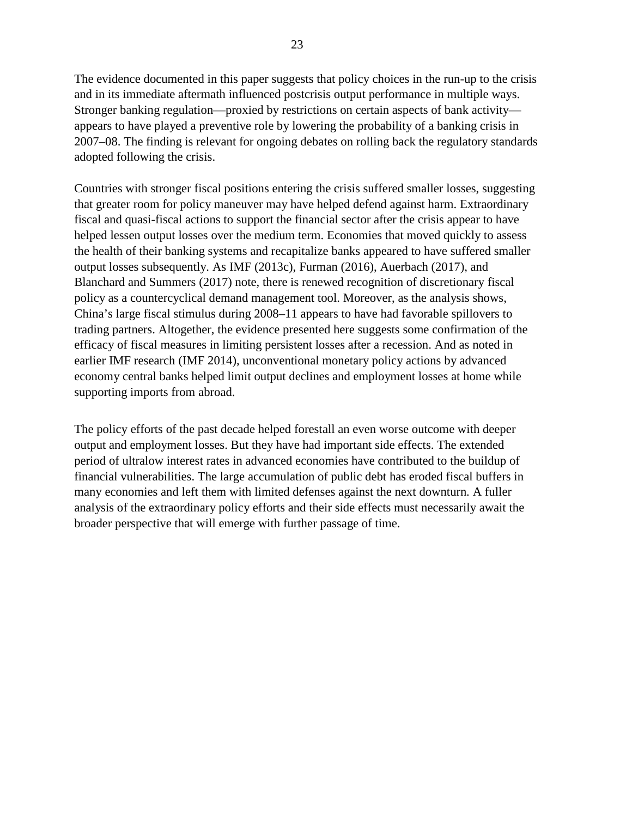The evidence documented in this paper suggests that policy choices in the run-up to the crisis and in its immediate aftermath influenced postcrisis output performance in multiple ways. Stronger banking regulation—proxied by restrictions on certain aspects of bank activity appears to have played a preventive role by lowering the probability of a banking crisis in 2007–08. The finding is relevant for ongoing debates on rolling back the regulatory standards adopted following the crisis.

Countries with stronger fiscal positions entering the crisis suffered smaller losses, suggesting that greater room for policy maneuver may have helped defend against harm. Extraordinary fiscal and quasi-fiscal actions to support the financial sector after the crisis appear to have helped lessen output losses over the medium term. Economies that moved quickly to assess the health of their banking systems and recapitalize banks appeared to have suffered smaller output losses subsequently. As IMF (2013c), Furman (2016), Auerbach (2017), and Blanchard and Summers (2017) note, there is renewed recognition of discretionary fiscal policy as a countercyclical demand management tool. Moreover, as the analysis shows, China's large fiscal stimulus during 2008–11 appears to have had favorable spillovers to trading partners. Altogether, the evidence presented here suggests some confirmation of the efficacy of fiscal measures in limiting persistent losses after a recession. And as noted in earlier IMF research (IMF 2014), unconventional monetary policy actions by advanced economy central banks helped limit output declines and employment losses at home while supporting imports from abroad.

The policy efforts of the past decade helped forestall an even worse outcome with deeper output and employment losses. But they have had important side effects. The extended period of ultralow interest rates in advanced economies have contributed to the buildup of financial vulnerabilities. The large accumulation of public debt has eroded fiscal buffers in many economies and left them with limited defenses against the next downturn*.* A fuller analysis of the extraordinary policy efforts and their side effects must necessarily await the broader perspective that will emerge with further passage of time.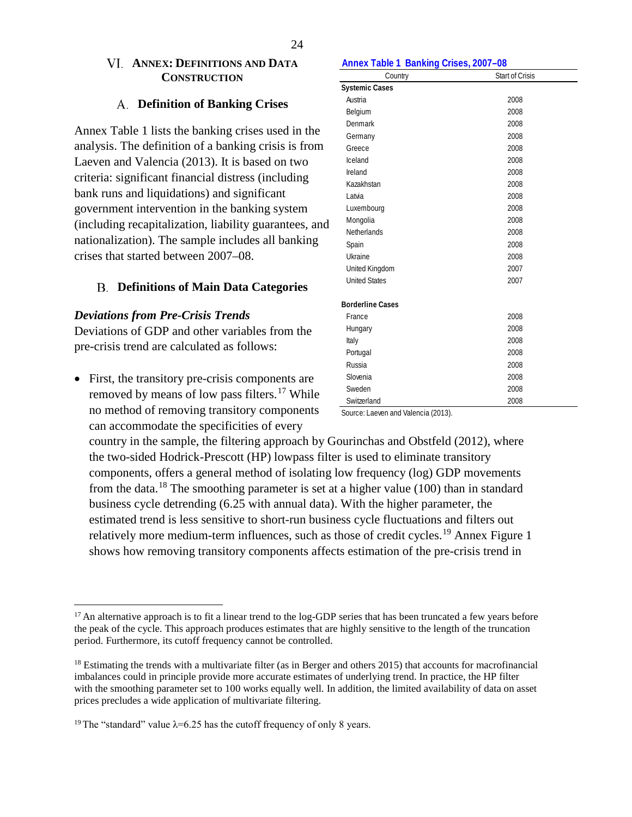## **ANNEX: DEFINITIONS AND DATA CONSTRUCTION**

## **Definition of Banking Crises**

Annex Table 1 lists the banking crises used in the analysis. The definition of a banking crisis is from Laeven and Valencia (2013). It is based on two criteria: significant financial distress (including bank runs and liquidations) and significant government intervention in the banking system (including recapitalization, liability guarantees, and nationalization). The sample includes all banking crises that started between 2007–08.

## **Definitions of Main Data Categories**

## *Deviations from Pre-Crisis Trends*

Deviations of GDP and other variables from the pre-crisis trend are calculated as follows:

• First, the transitory pre-crisis components are removed by means of low pass filters.<sup>[17](#page-23-0)</sup> While no method of removing transitory components can accommodate the specificities of every

#### **Annex Table 1 Banking Crises, 2007–08**

| Country                 | Start of Crisis |
|-------------------------|-----------------|
| <b>Systemic Cases</b>   |                 |
| Austria                 | 2008            |
| Belgium                 | 2008            |
| Denmark                 | 2008            |
| Germany                 | 2008            |
| Greece                  | 2008            |
| Iceland                 | 2008            |
| Ireland                 | 2008            |
| Kazakhstan              | 2008            |
| Latvia                  | 2008            |
| Luxembourg              | 2008            |
| Mongolia                | 2008            |
| <b>Netherlands</b>      | 2008            |
| Spain                   | 2008            |
| Ukraine                 | 2008            |
| United Kingdom          | 2007            |
| <b>United States</b>    | 2007            |
| <b>Borderline Cases</b> |                 |
| France                  | 2008            |
| Hungary                 | 2008            |
| Italy                   | 2008            |
| Portugal                | 2008            |
| Russia                  | 2008            |
| Slovenia                | 2008            |
| Sweden                  | 2008            |
| Switzerland             | 2008            |

Source: Laeven and Valencia (2013).

country in the sample, the filtering approach by Gourinchas and Obstfeld (2012), where the two-sided Hodrick-Prescott (HP) lowpass filter is used to eliminate transitory components, offers a general method of isolating low frequency (log) GDP movements from the data.<sup>[18](#page-23-1)</sup> The smoothing parameter is set at a higher value (100) than in standard business cycle detrending (6.25 with annual data). With the higher parameter, the estimated trend is less sensitive to short-run business cycle fluctuations and filters out relatively more medium-term influences, such as those of credit cycles.<sup>[19](#page-23-2)</sup> Annex Figure 1 shows how removing transitory components affects estimation of the pre-crisis trend in

<span id="page-23-0"></span> $17$  An alternative approach is to fit a linear trend to the log-GDP series that has been truncated a few years before the peak of the cycle. This approach produces estimates that are highly sensitive to the length of the truncation period. Furthermore, its cutoff frequency cannot be controlled.

<span id="page-23-1"></span><sup>&</sup>lt;sup>18</sup> Estimating the trends with a multivariate filter (as in Berger and others 2015) that accounts for macrofinancial imbalances could in principle provide more accurate estimates of underlying trend. In practice, the HP filter with the smoothing parameter set to 100 works equally well. In addition, the limited availability of data on asset prices precludes a wide application of multivariate filtering.

<span id="page-23-2"></span><sup>&</sup>lt;sup>19</sup> The "standard" value  $\lambda$ =6.25 has the cutoff frequency of only 8 years.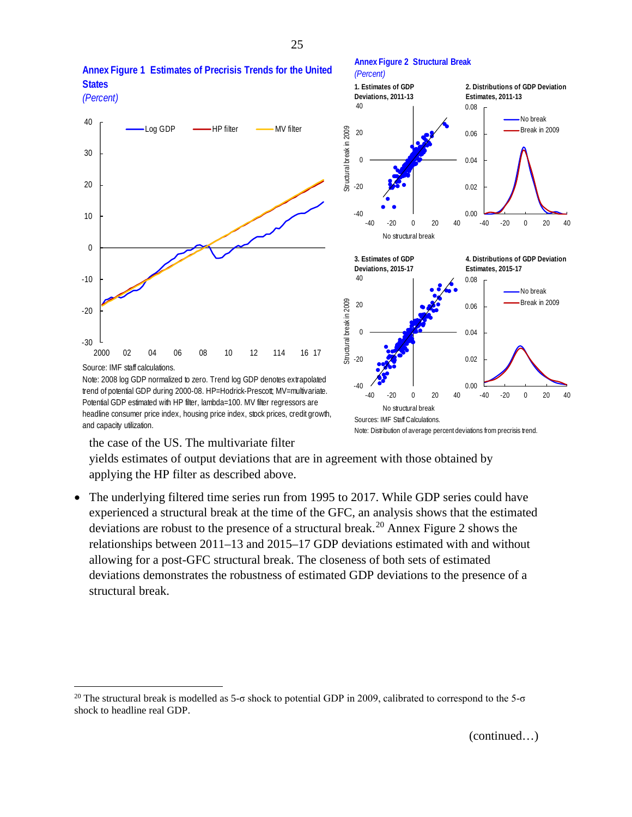

**Annex Figure 1 Estimates of Precrisis Trends for the United** 

**States**

*(Percent)* **1. Estimates of GDP 2. Distributions of GDP Deviation** 

**Annex Figure 2 Structural Break**



the case of the US. The multivariate filter

and capacity utilization.

trend of potential GDP during 2000-08. HP=Hodrick-Prescott; MV=multivariate. Potential GDP estimated with HP filter, lambda=100. MV filter regressors are headline consumer price index, housing price index, stock prices, credit growth,

yields estimates of output deviations that are in agreement with those obtained by applying the HP filter as described above.

• The underlying filtered time series run from 1995 to 2017. While GDP series could have experienced a structural break at the time of the GFC, an analysis shows that the estimated deviations are robust to the presence of a structural break.<sup>[20](#page-24-0)</sup> Annex Figure 2 shows the relationships between 2011–13 and 2015–17 GDP deviations estimated with and without allowing for a post-GFC structural break. The closeness of both sets of estimated deviations demonstrates the robustness of estimated GDP deviations to the presence of a structural break.

(continued…)

<span id="page-24-1"></span><span id="page-24-0"></span><sup>&</sup>lt;sup>20</sup> The structural break is modelled as 5-σ shock to potential GDP in 2009, calibrated to correspond to the 5-σ shock to headline real GDP.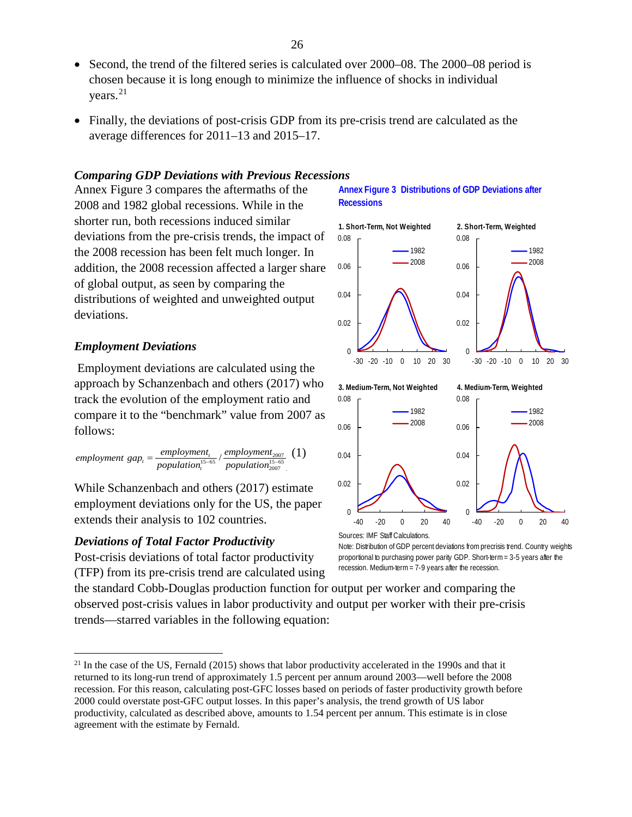- Second, the trend of the filtered series is calculated over 2000–08. The 2000–08 period is chosen because it is long enough to minimize the influence of shocks in individual years.[21](#page-24-1)
- Finally, the deviations of post-crisis GDP from its pre-crisis trend are calculated as the average differences for 2011–13 and 2015–17.

## *Comparing GDP Deviations with Previous Recessions*

Annex Figure 3 compares the aftermaths of the 2008 and 1982 global recessions. While in the shorter run, both recessions induced similar deviations from the pre-crisis trends, the impact of the 2008 recession has been felt much longer. In addition, the 2008 recession affected a larger share of global output, as seen by comparing the distributions of weighted and unweighted output deviations.

#### *Employment Deviations*

Employment deviations are calculated using the approach by Schanzenbach and others (2017) who track the evolution of the employment ratio and compare it to the "benchmark" value from 2007 as follows:

$$
employment \; gap_t = \frac{employment_t}{population_t^{15-65}} / \frac{employment_{2007}}{population_{2007}^{15-65}}
$$
 (1)

While Schanzenbach and others (2017) estimate employment deviations only for the US, the paper extends their analysis to 102 countries.

#### *Deviations of Total Factor Productivity*

Post-crisis deviations of total factor productivity (TFP) from its pre-crisis trend are calculated using **Annex Figure 3 Distributions of GDP Deviations after Recessions**





Sources: IMF Staff Calculations.

Note: Distribution of GDP percent deviations from precrisis trend. Country weights proportional to purchasing power parity GDP. Short-term = 3-5 years after the recession. Medium-term = 7-9 years after the recession.

the standard Cobb-Douglas production function for output per worker and comparing the observed post-crisis values in labor productivity and output per worker with their pre-crisis trends—starred variables in the following equation:

 $^{21}$  In the case of the US, Fernald (2015) shows that labor productivity accelerated in the 1990s and that it returned to its long-run trend of approximately 1.5 percent per annum around 2003—well before the 2008 recession. For this reason, calculating post-GFC losses based on periods of faster productivity growth before 2000 could overstate post-GFC output losses. In this paper's analysis, the trend growth of US labor productivity, calculated as described above, amounts to 1.54 percent per annum. This estimate is in close agreement with the estimate by Fernald.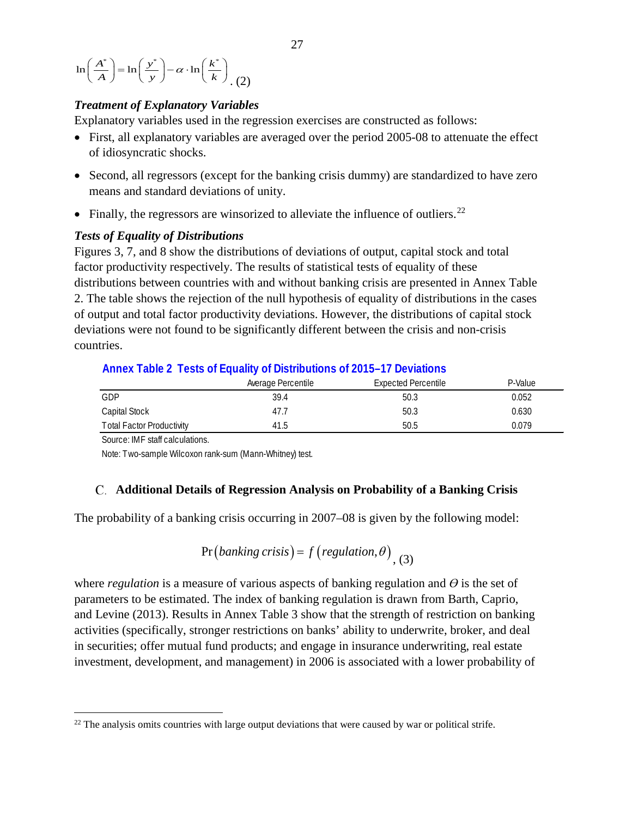$$
\ln\left(\frac{A^*}{A}\right) = \ln\left(\frac{y^*}{y}\right) - \alpha \cdot \ln\left(\frac{k^*}{k}\right) \tag{2}
$$

## *Treatment of Explanatory Variables*

Explanatory variables used in the regression exercises are constructed as follows:

- First, all explanatory variables are averaged over the period 2005-08 to attenuate the effect of idiosyncratic shocks.
- Second, all regressors (except for the banking crisis dummy) are standardized to have zero means and standard deviations of unity.
- Finally, the regressors are winsorized to alleviate the influence of outliers.<sup>[22](#page-26-0)</sup>

#### *Tests of Equality of Distributions*

Figures 3, 7, and 8 show the distributions of deviations of output, capital stock and total factor productivity respectively. The results of statistical tests of equality of these distributions between countries with and without banking crisis are presented in Annex Table 2. The table shows the rejection of the null hypothesis of equality of distributions in the cases of output and total factor productivity deviations. However, the distributions of capital stock deviations were not found to be significantly different between the crisis and non-crisis countries.

## **Annex Table 2 Tests of Equality of Distributions of 2015–17 Deviations**

|                           | Average Percentile | <b>Expected Percentile</b> | P-Value |  |  |
|---------------------------|--------------------|----------------------------|---------|--|--|
| GDP                       | 39.4               | 50.3                       | 0.052   |  |  |
| Capital Stock             | 47.7               | 50.3                       | 0.630   |  |  |
| Total Factor Productivity | 41.5               | 50.5                       | 0.079   |  |  |

Source: IMF staff calculations.

Note: Two-sample Wilcoxon rank-sum (Mann-Whitney) test.

#### **Additional Details of Regression Analysis on Probability of a Banking Crisis**

The probability of a banking crisis occurring in 2007–08 is given by the following model:

$$
Pr(banking crisis) = f(regulation, \theta)
$$
<sub>, (3)</sub>

where *regulation* is a measure of various aspects of banking regulation and  $\Theta$  is the set of parameters to be estimated. The index of banking regulation is drawn from Barth, Caprio, and Levine (2013). Results in Annex Table 3 show that the strength of restriction on banking activities (specifically, stronger restrictions on banks' ability to underwrite, broker, and deal in securities; offer mutual fund products; and engage in insurance underwriting, real estate investment, development, and management) in 2006 is associated with a lower probability of

<span id="page-26-0"></span> $22$  The analysis omits countries with large output deviations that were caused by war or political strife.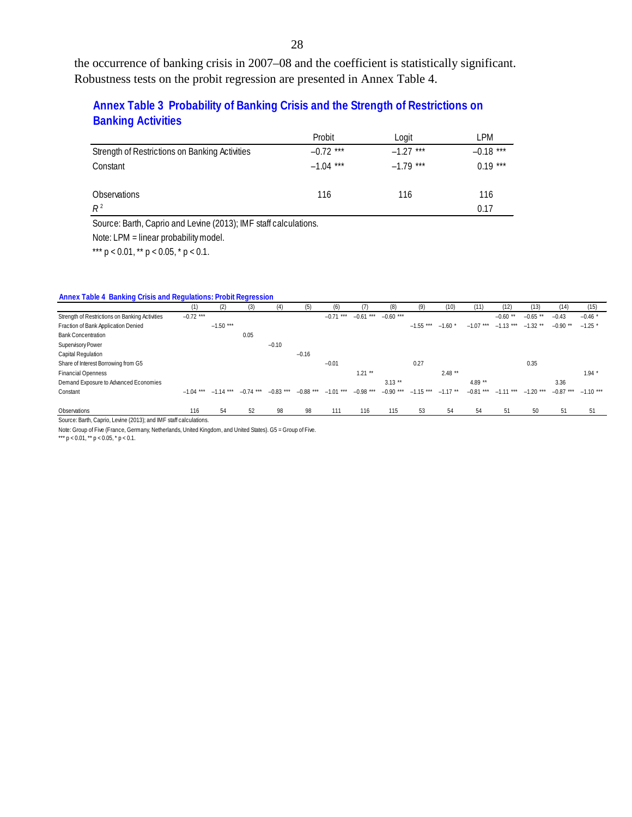the occurrence of banking crisis in 2007–08 and the coefficient is statistically significant. Robustness tests on the probit regression are presented in Annex Table 4.

## **Annex Table 3 Probability of Banking Crisis and the Strength of Restrictions on Banking Activities**

|                                                | Probit      | Logit       | LPM         |
|------------------------------------------------|-------------|-------------|-------------|
| Strength of Restrictions on Banking Activities | $-0.72$ *** | $-1.27$ *** | $-0.18$ *** |
| Constant                                       | $-1.04$ *** | $-1.79$ *** | $0.19***$   |
| Observations                                   | 116         | 116         | 116         |
| $R^2$                                          |             |             | 0.17        |

Source: Barth, Caprio and Levine (2013); IMF staff calculations.

Note: LPM = linear probability model.

\*\*\*  $p < 0.01$ , \*\*  $p < 0.05$ , \*  $p < 0.1$ .

#### **Annex Table 4 Banking Crisis and Regulations: Probit Regression**

|                                                | (1)                     | (2)         | (3)         | (4)         | (5)         | (6)         |             | (8)         | (9)         | (10)       |             | (12)        | (13)        | (14)                    | (15)    |
|------------------------------------------------|-------------------------|-------------|-------------|-------------|-------------|-------------|-------------|-------------|-------------|------------|-------------|-------------|-------------|-------------------------|---------|
| Strength of Restrictions on Banking Activities | $-0.72$ ***             |             |             |             |             | $-0.71$     | $-0.61***$  | $-0.60$ *** |             |            |             | $-0.60$     | $-0.65$ **  | $-0.43$                 | $-0.46$ |
| Fraction of Bank Application Denied            |                         | $-1.50$ *** |             |             |             |             |             |             | $-1.55$ *** | $-1.60$ *  | $-1.07$ *** | $-1.13$ *** | $-1.32$ **  | $-0.90$ **              | $-1.25$ |
| <b>Bank Concentration</b>                      |                         |             | 0.05        |             |             |             |             |             |             |            |             |             |             |                         |         |
| Supervisory Power                              |                         |             |             | $-0.10$     |             |             |             |             |             |            |             |             |             |                         |         |
| Capital Regulation                             |                         |             |             |             | $-0.16$     |             |             |             |             |            |             |             |             |                         |         |
| Share of Interest Borrowing from G5            |                         |             |             |             |             | $-0.01$     |             |             | 0.27        |            |             |             | 0.35        |                         |         |
| <b>Financial Openness</b>                      |                         |             |             |             |             |             | $1.21$ **   |             |             | $2.48**$   |             |             |             |                         | $1.94*$ |
| Demand Exposure to Advanced Economies          |                         |             |             |             |             |             |             | $3.13***$   |             |            | 4.89 **     |             |             | 3.36                    |         |
| Constant                                       | $-1.04$ *** $-1.14$ *** |             | $-0.74$ *** | $-0.83$ *** | $-0.88$ *** | $-1.01$ *** | $-0.98$ *** | $-0.90$ *** | $-1.15$ *** | $-1.17$ ** | $-0.81***$  | $-1.11***$  | $-1.20$ *** | $-0.87$ *** $-1.10$ *** |         |
|                                                |                         |             |             |             |             |             |             |             |             |            |             |             |             |                         |         |
| Observations                                   | 116                     | 54          | 52          | 98          | 98          | 111         | 116         | 115         | 53          | 54         | 54          | 51          | 50          | 51                      | 51      |

Source: Barth, Caprio, Levine (2013); and IMF staff calculations.

Note: Group of Five (France, Germany, Netherlands, United Kingdom, and United States). G5 = Group of Five.

\*\*\*  $p < 0.01$ , \*\*  $p < 0.05$ , \*  $p < 0.1$ .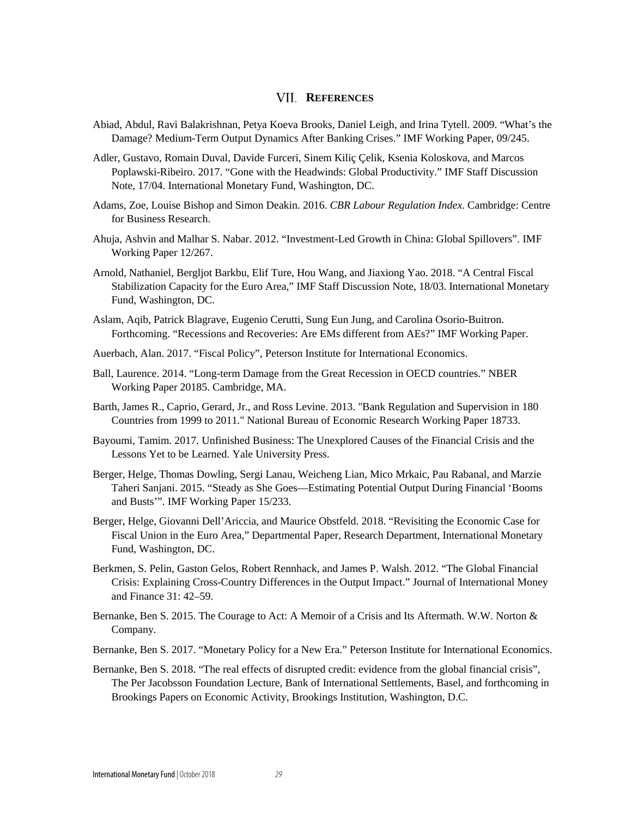## **VII. REFERENCES**

- Abiad, Abdul, Ravi Balakrishnan, Petya Koeva Brooks, Daniel Leigh, and Irina Tytell. 2009. "What's the Damage? Medium-Term Output Dynamics After Banking Crises." IMF Working Paper, 09/245.
- Adler, Gustavo, Romain Duval, Davide Furceri, Sinem Kiliç Çelik, Ksenia Koloskova, and Marcos Poplawski-Ribeiro. 2017. "Gone with the Headwinds: Global Productivity." IMF Staff Discussion Note, 17/04. International Monetary Fund, Washington, DC.
- Adams, Zoe, Louise Bishop and Simon Deakin. 2016. *CBR Labour Regulation Index*. Cambridge: Centre for Business Research.
- Ahuja, Ashvin and Malhar S. Nabar. 2012. "Investment-Led Growth in China: Global Spillovers". IMF Working Paper 12/267.
- Arnold, Nathaniel, Bergljot Barkbu, Elif Ture, Hou Wang, and Jiaxiong Yao. 2018. "A Central Fiscal Stabilization Capacity for the Euro Area," IMF Staff Discussion Note, 18/03. International Monetary Fund, Washington, DC.
- Aslam, Aqib, Patrick Blagrave, Eugenio Cerutti, Sung Eun Jung, and Carolina Osorio-Buitron. Forthcoming. "Recessions and Recoveries: Are EMs different from AEs?" IMF Working Paper.
- Auerbach, Alan. 2017. "Fiscal Policy", Peterson Institute for International Economics.
- Ball, Laurence. 2014. "Long-term Damage from the Great Recession in OECD countries." NBER Working Paper 20185. Cambridge, MA.
- Barth, James R., Caprio, Gerard, Jr., and Ross Levine. 2013. "Bank Regulation and Supervision in 180 Countries from 1999 to 2011." National Bureau of Economic Research Working Paper 18733.
- Bayoumi, Tamim. 2017. Unfinished Business: The Unexplored Causes of the Financial Crisis and the Lessons Yet to be Learned. Yale University Press.
- Berger, Helge, Thomas Dowling, Sergi Lanau, Weicheng Lian, Mico Mrkaic, Pau Rabanal, and Marzie Taheri Sanjani. 2015. "Steady as She Goes—Estimating Potential Output During Financial 'Booms and Busts'". IMF Working Paper 15/233.
- Berger, Helge, Giovanni Dell'Ariccia, and Maurice Obstfeld. 2018. "Revisiting the Economic Case for Fiscal Union in the Euro Area," Departmental Paper, Research Department, International Monetary Fund, Washington, DC.
- Berkmen, S. Pelin, Gaston Gelos, Robert Rennhack, and James P. Walsh. 2012. "The Global Financial Crisis: Explaining Cross-Country Differences in the Output Impact." Journal of International Money and Finance 31: 42–59.
- Bernanke, Ben S. 2015. The Courage to Act: A Memoir of a Crisis and Its Aftermath. W.W. Norton & Company.
- Bernanke, Ben S. 2017. "Monetary Policy for a New Era." Peterson Institute for International Economics.
- Bernanke, Ben S. 2018. "The real effects of disrupted credit: evidence from the global financial crisis", The Per Jacobsson Foundation Lecture, Bank of International Settlements, Basel, and forthcoming in Brookings Papers on Economic Activity, Brookings Institution, Washington, D.C.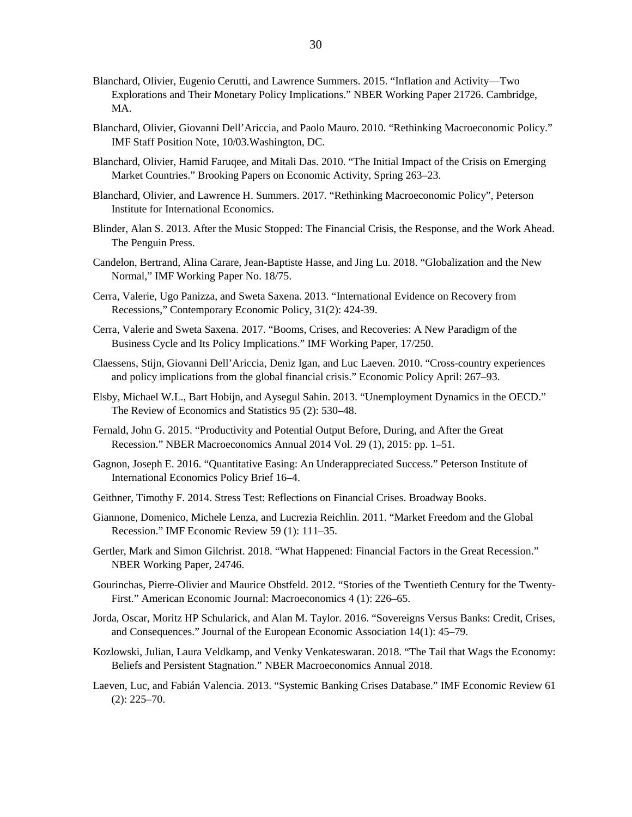- Blanchard, Olivier, Eugenio Cerutti, and Lawrence Summers. 2015. "Inflation and Activity—Two Explorations and Their Monetary Policy Implications." NBER Working Paper 21726. Cambridge, MA.
- Blanchard, Olivier, Giovanni Dell'Ariccia, and Paolo Mauro. 2010. "Rethinking Macroeconomic Policy." IMF Staff Position Note, 10/03.Washington, DC.
- Blanchard, Olivier, Hamid Faruqee, and Mitali Das. 2010. "The Initial Impact of the Crisis on Emerging Market Countries." Brooking Papers on Economic Activity, Spring 263–23.
- Blanchard, Olivier, and Lawrence H. Summers. 2017. "Rethinking Macroeconomic Policy", Peterson Institute for International Economics.
- Blinder, Alan S. 2013. After the Music Stopped: The Financial Crisis, the Response, and the Work Ahead. The Penguin Press.
- Candelon, Bertrand, Alina Carare, Jean-Baptiste Hasse, and Jing Lu. 2018. "Globalization and the New Normal," IMF Working Paper No. 18/75.
- Cerra, Valerie, Ugo Panizza, and Sweta Saxena. 2013. "International Evidence on Recovery from Recessions," Contemporary Economic Policy, 31(2): 424-39.
- Cerra, Valerie and Sweta Saxena. 2017. "Booms, Crises, and Recoveries: A New Paradigm of the Business Cycle and Its Policy Implications." IMF Working Paper, 17/250.
- Claessens, Stijn, Giovanni Dell'Ariccia, Deniz Igan, and Luc Laeven. 2010. "Cross-country experiences and policy implications from the global financial crisis." Economic Policy April: 267–93.
- Elsby, Michael W.L., Bart Hobijn, and Aysegul Sahin. 2013. "Unemployment Dynamics in the OECD." The Review of Economics and Statistics 95 (2): 530–48.
- Fernald, John G. 2015. "Productivity and Potential Output Before, During, and After the Great Recession." NBER Macroeconomics Annual 2014 Vol. 29 (1), 2015: pp. 1–51.
- Gagnon, Joseph E. 2016. "Quantitative Easing: An Underappreciated Success." Peterson Institute of International Economics Policy Brief 16–4.
- Geithner, Timothy F. 2014. Stress Test: Reflections on Financial Crises. Broadway Books.
- Giannone, Domenico, Michele Lenza, and Lucrezia Reichlin. 2011. "Market Freedom and the Global Recession." IMF Economic Review 59 (1): 111–35.
- Gertler, Mark and Simon Gilchrist. 2018. "What Happened: Financial Factors in the Great Recession." NBER Working Paper, 24746.
- Gourinchas, Pierre-Olivier and Maurice Obstfeld. 2012. "Stories of the Twentieth Century for the Twenty-First." American Economic Journal: Macroeconomics 4 (1): 226–65.
- Jorda, Oscar, Moritz HP Schularick, and Alan M. Taylor. 2016. "Sovereigns Versus Banks: Credit, Crises, and Consequences." Journal of the European Economic Association 14(1): 45–79.
- Kozlowski, Julian, Laura Veldkamp, and Venky Venkateswaran. 2018. "The Tail that Wags the Economy: Beliefs and Persistent Stagnation." NBER Macroeconomics Annual 2018.
- Laeven, Luc, and Fabián Valencia. 2013. "Systemic Banking Crises Database." IMF Economic Review 61 (2): 225–70.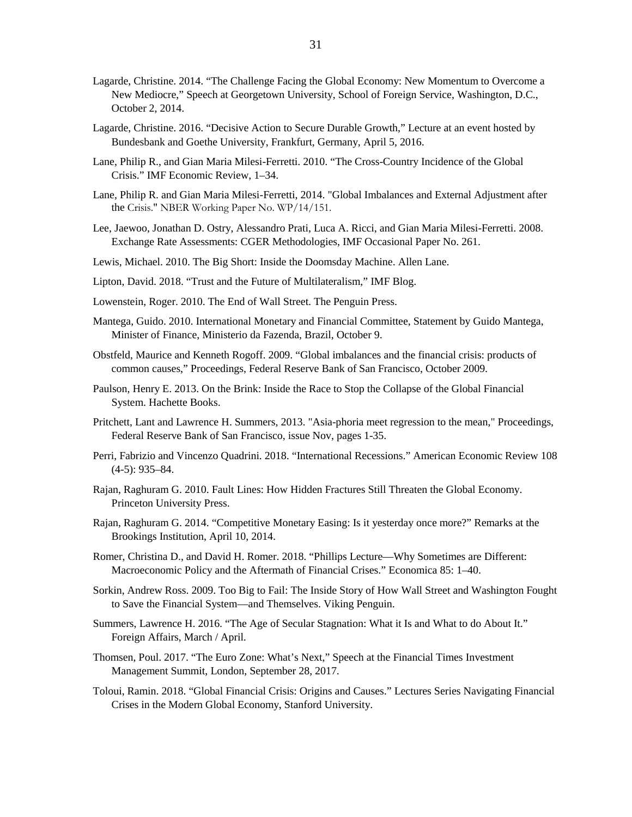- Lagarde, Christine. 2014. "The Challenge Facing the Global Economy: New Momentum to Overcome a New Mediocre," Speech at Georgetown University, School of Foreign Service, Washington, D.C., October 2, 2014.
- Lagarde, Christine. 2016. "Decisive Action to Secure Durable Growth," Lecture at an event hosted by Bundesbank and Goethe University, Frankfurt, Germany, April 5, 2016.
- Lane, Philip R., and Gian Maria Milesi-Ferretti. 2010. "The Cross-Country Incidence of the Global Crisis." IMF Economic Review, 1–34.
- Lane, Philip R. and Gian Maria Milesi-Ferretti, 2014. "Global Imbalances and External Adjustment after the Crisis." NBER Working Paper No. WP/14/151.
- Lee, Jaewoo, Jonathan D. Ostry, Alessandro Prati, Luca A. Ricci, and Gian Maria Milesi-Ferretti. 2008. Exchange Rate Assessments: CGER Methodologies, IMF Occasional Paper No. 261.
- Lewis, Michael. 2010. The Big Short: Inside the Doomsday Machine. Allen Lane.
- Lipton, David. 2018. "Trust and the Future of Multilateralism," IMF Blog.
- Lowenstein, Roger. 2010. The End of Wall Street. The Penguin Press.
- Mantega, Guido. 2010. International Monetary and Financial Committee, Statement by Guido Mantega, Minister of Finance, Ministerio da Fazenda, Brazil, October 9.
- Obstfeld, Maurice and Kenneth Rogoff. 2009. "Global imbalances and the financial crisis: products of common causes," Proceedings, Federal Reserve Bank of San Francisco, October 2009.
- Paulson, Henry E. 2013. On the Brink: Inside the Race to Stop the Collapse of the Global Financial System. Hachette Books.
- Pritchett, Lant and Lawrence H. Summers, 2013. "Asia-phoria meet regression to the mean," Proceedings, Federal Reserve Bank of San Francisco, issue Nov, pages 1-35.
- Perri, Fabrizio and Vincenzo Quadrini. 2018. "International Recessions." American Economic Review 108 (4-5): 935–84.
- Rajan, Raghuram G. 2010. Fault Lines: How Hidden Fractures Still Threaten the Global Economy. Princeton University Press.
- Rajan, Raghuram G. 2014. "Competitive Monetary Easing: Is it yesterday once more?" Remarks at the Brookings Institution, April 10, 2014.
- Romer, Christina D., and David H. Romer. 2018. "Phillips Lecture—Why Sometimes are Different: Macroeconomic Policy and the Aftermath of Financial Crises." Economica 85: 1–40.
- Sorkin, Andrew Ross. 2009. Too Big to Fail: The Inside Story of How Wall Street and Washington Fought to Save the Financial System—and Themselves. Viking Penguin.
- Summers, Lawrence H. 2016. "The Age of Secular Stagnation: What it Is and What to do About It." Foreign Affairs, March / April.
- Thomsen, Poul. 2017. "The Euro Zone: What's Next," Speech at the Financial Times Investment Management Summit, London, September 28, 2017.
- Toloui, Ramin. 2018. "Global Financial Crisis: Origins and Causes." Lectures Series Navigating Financial Crises in the Modern Global Economy, Stanford University.